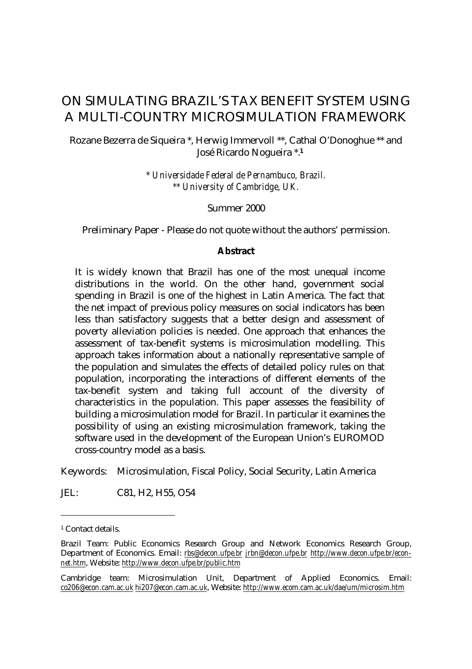# ON SIMULATING BRAZIL'S TAX BENEFIT SYSTEM USING A MULTI-COUNTRY MICROSIMULATION FRAMEWORK

#### Rozane Bezerra de Siqueira \*, Herwig Immervoll \*\*, Cathal O'Donoghue \*\* and José Ricardo Nogueira \*.**<sup>1</sup>**

*\* Universidade Federal de Pernambuco, Brazil. \*\* University of Cambridge, UK.*

Summer 2000

Preliminary Paper - Please do not quote without the authors' permission.

#### **Abstract**

It is widely known that Brazil has one of the most unequal income distributions in the world. On the other hand, government social spending in Brazil is one of the highest in Latin America. The fact that the net impact of previous policy measures on social indicators has been less than satisfactory suggests that a better design and assessment of poverty alleviation policies is needed. One approach that enhances the assessment of tax-benefit systems is microsimulation modelling. This approach takes information about a nationally representative sample of the population and simulates the effects of detailed policy rules on that population, incorporating the interactions of different elements of the tax-benefit system and taking full account of the diversity of characteristics in the population. This paper assesses the feasibility of building a microsimulation model for Brazil. In particular it examines the possibility of using an existing microsimulation framework, taking the software used in the development of the European Union's EUROMOD cross-country model as a basis.

Keywords: Microsimulation, Fiscal Policy, Social Security, Latin America

JEL: C81, H2, H55, O54

l

<sup>1</sup> Contact details.

Brazil Team: Public Economics Research Group and Network Economics Research Group, Department of Economics. Email: *rbs@decon.ufpe.br jrbn@decon.ufpe.br http://www.decon.ufpe.br/econnet.htm*, Website: *http://www.decon.ufpe.br/public.htm*

Cambridge team: Microsimulation Unit, Department of Applied Economics. Email: *co206@econ.cam.ac.uk hi207@econ.cam.ac.uk*, Website: *http://www.ecom.cam.ac.uk/dae/um/microsim.htm*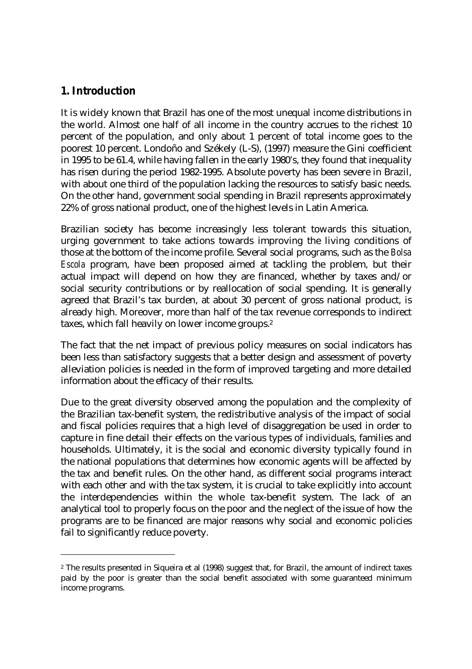## **1. Introduction**

l

It is widely known that Brazil has one of the most unequal income distributions in the world. Almost one half of all income in the country accrues to the richest 10 percent of the population, and only about 1 percent of total income goes to the poorest 10 percent. Londoño and Székely (L-S), (1997) measure the Gini coefficient in 1995 to be 61.4, while having fallen in the early 1980's, they found that inequality has risen during the period 1982-1995. Absolute poverty has been severe in Brazil, with about one third of the population lacking the resources to satisfy basic needs. On the other hand, government social spending in Brazil represents approximately 22% of gross national product, one of the highest levels in Latin America.

Brazilian society has become increasingly less tolerant towards this situation, urging government to take actions towards improving the living conditions of those at the bottom of the income profile. Several social programs, such as the *Bolsa Escola* program, have been proposed aimed at tackling the problem, but their actual impact will depend on how they are financed, whether by taxes and/or social security contributions or by reallocation of social spending. It is generally agreed that Brazil's tax burden, at about 30 percent of gross national product, is already high. Moreover, more than half of the tax revenue corresponds to indirect taxes, which fall heavily on lower income groups.<sup>2</sup>

The fact that the net impact of previous policy measures on social indicators has been less than satisfactory suggests that a better design and assessment of poverty alleviation policies is needed in the form of improved targeting and more detailed information about the efficacy of their results.

Due to the great diversity observed among the population and the complexity of the Brazilian tax-benefit system, the redistributive analysis of the impact of social and fiscal policies requires that a high level of disaggregation be used in order to capture in fine detail their effects on the various types of individuals, families and households. Ultimately, it is the social and economic diversity typically found in the national populations that determines how economic agents will be affected by the tax and benefit rules. On the other hand, as different social programs interact with each other and with the tax system, it is crucial to take explicitly into account the interdependencies within the whole tax-benefit system. The lack of an analytical tool to properly focus on the poor and the neglect of the issue of how the programs are to be financed are major reasons why social and economic policies fail to significantly reduce poverty.

<sup>2</sup> The results presented in Siqueira et al (1998) suggest that, for Brazil, the amount of indirect taxes paid by the poor is greater than the social benefit associated with some guaranteed minimum income programs.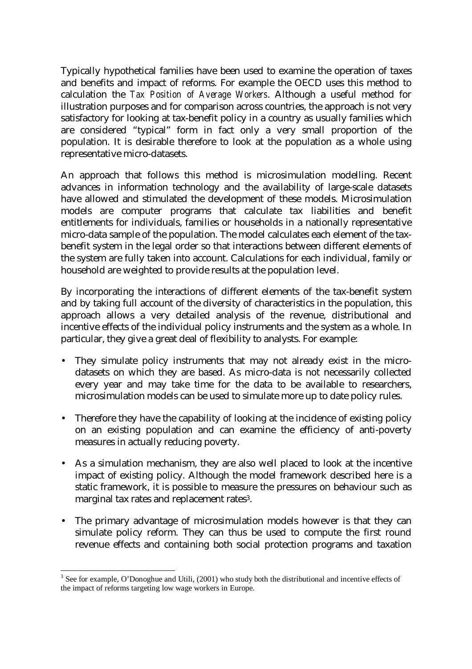Typically hypothetical families have been used to examine the operation of taxes and benefits and impact of reforms. For example the OECD uses this method to calculation the *Tax Position of Average Workers*. Although a useful method for illustration purposes and for comparison across countries, the approach is not very satisfactory for looking at tax-benefit policy in a country as usually families which are considered "typical" form in fact only a very small proportion of the population. It is desirable therefore to look at the population as a whole using representative micro-datasets.

An approach that follows this method is microsimulation modelling. Recent advances in information technology and the availability of large-scale datasets have allowed and stimulated the development of these models. Microsimulation models are computer programs that calculate tax liabilities and benefit entitlements for individuals, families or households in a nationally representative micro-data sample of the population. The model calculates each element of the taxbenefit system in the legal order so that interactions between different elements of the system are fully taken into account. Calculations for each individual, family or household are weighted to provide results at the population level.

By incorporating the interactions of different elements of the tax-benefit system and by taking full account of the diversity of characteristics in the population, this approach allows a very detailed analysis of the revenue, distributional and incentive effects of the individual policy instruments and the system as a whole. In particular, they give a great deal of flexibility to analysts. For example:

- They simulate policy instruments that may not already exist in the microdatasets on which they are based. As micro-data is not necessarily collected every year and may take time for the data to be available to researchers, microsimulation models can be used to simulate more up to date policy rules.
- Therefore they have the capability of looking at the incidence of existing policy on an existing population and can examine the efficiency of anti-poverty measures in actually reducing poverty.
- As a simulation mechanism, they are also well placed to look at the incentive impact of existing policy. Although the model framework described here is a static framework, it is possible to measure the pressures on behaviour such as marginal tax rates and replacement rates<sup>3</sup>.
- The primary advantage of microsimulation models however is that they can simulate policy reform. They can thus be used to compute the first round revenue effects and containing both social protection programs and taxation

l  $3$  See for example, O'Donoghue and Utili, (2001) who study both the distributional and incentive effects of the impact of reforms targeting low wage workers in Europe.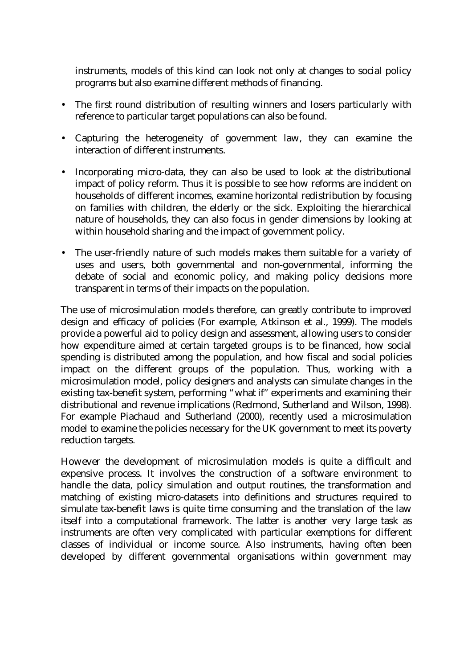instruments, models of this kind can look not only at changes to social policy programs but also examine different methods of financing.

- The first round distribution of resulting winners and losers particularly with reference to particular target populations can also be found.
- Capturing the heterogeneity of government law, they can examine the interaction of different instruments.
- Incorporating micro-data, they can also be used to look at the distributional impact of policy reform. Thus it is possible to see how reforms are incident on households of different incomes, examine horizontal redistribution by focusing on families with children, the elderly or the sick. Exploiting the hierarchical nature of households, they can also focus in gender dimensions by looking at within household sharing and the impact of government policy.
- The user-friendly nature of such models makes them suitable for a variety of uses and users, both governmental and non-governmental, informing the debate of social and economic policy, and making policy decisions more transparent in terms of their impacts on the population.

The use of microsimulation models therefore, can greatly contribute to improved design and efficacy of policies (For example, Atkinson et al., 1999). The models provide a powerful aid to policy design and assessment, allowing users to consider how expenditure aimed at certain targeted groups is to be financed, how social spending is distributed among the population, and how fiscal and social policies impact on the different groups of the population. Thus, working with a microsimulation model, policy designers and analysts can simulate changes in the existing tax-benefit system, performing "what if" experiments and examining their distributional and revenue implications (Redmond, Sutherland and Wilson, 1998). For example Piachaud and Sutherland (2000), recently used a microsimulation model to examine the policies necessary for the UK government to meet its poverty reduction targets.

However the development of microsimulation models is quite a difficult and expensive process. It involves the construction of a software environment to handle the data, policy simulation and output routines, the transformation and matching of existing micro-datasets into definitions and structures required to simulate tax-benefit laws is quite time consuming and the translation of the law itself into a computational framework. The latter is another very large task as instruments are often very complicated with particular exemptions for different classes of individual or income source. Also instruments, having often been developed by different governmental organisations within government may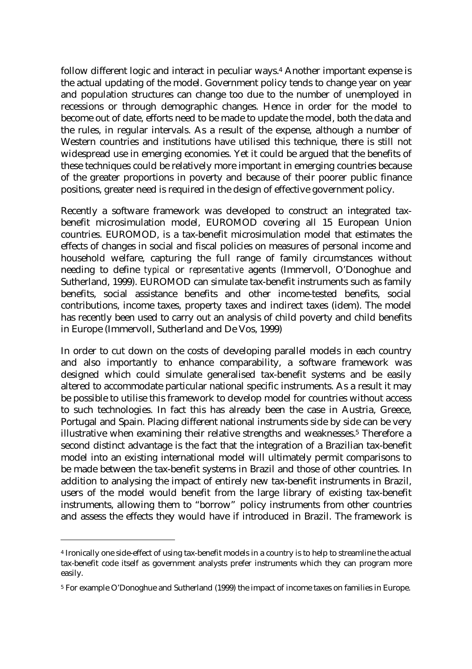follow different logic and interact in peculiar ways.<sup>4</sup> Another important expense is the actual updating of the model. Government policy tends to change year on year and population structures can change too due to the number of unemployed in recessions or through demographic changes. Hence in order for the model to become out of date, efforts need to be made to update the model, both the data and the rules, in regular intervals. As a result of the expense, although a number of Western countries and institutions have utilised this technique, there is still not widespread use in emerging economies. Yet it could be argued that the benefits of these techniques could be relatively more important in emerging countries because of the greater proportions in poverty and because of their poorer public finance positions, greater need is required in the design of effective government policy.

Recently a software framework was developed to construct an integrated taxbenefit microsimulation model, EUROMOD covering all 15 European Union countries. EUROMOD, is a tax-benefit microsimulation model that estimates the effects of changes in social and fiscal policies on measures of personal income and household welfare, capturing the full range of family circumstances without needing to define *typical* or *representative* agents (Immervoll, O'Donoghue and Sutherland, 1999). EUROMOD can simulate tax-benefit instruments such as family benefits, social assistance benefits and other income-tested benefits, social contributions, income taxes, property taxes and indirect taxes (idem). The model has recently been used to carry out an analysis of child poverty and child benefits in Europe (Immervoll, Sutherland and De Vos, 1999)

In order to cut down on the costs of developing parallel models in each country and also importantly to enhance comparability, a software framework was designed which could simulate generalised tax-benefit systems and be easily altered to accommodate particular national specific instruments. As a result it may be possible to utilise this framework to develop model for countries without access to such technologies. In fact this has already been the case in Austria, Greece, Portugal and Spain. Placing different national instruments side by side can be very illustrative when examining their relative strengths and weaknesses. $^5$  Therefore a second distinct advantage is the fact that the integration of a Brazilian tax-benefit model into an existing international model will ultimately permit comparisons to be made between the tax-benefit systems in Brazil and those of other countries. In addition to analysing the impact of entirely new tax-benefit instruments in Brazil, users of the model would benefit from the large library of existing tax-benefit instruments, allowing them to "borrow" policy instruments from other countries and assess the effects they would have if introduced in Brazil. The framework is

l

<sup>4</sup> Ironically one side-effect of using tax-benefit models in a country is to help to streamline the actual tax-benefit code itself as government analysts prefer instruments which they can program more easily.

<sup>5</sup> For example O'Donoghue and Sutherland (1999) the impact of income taxes on families in Europe.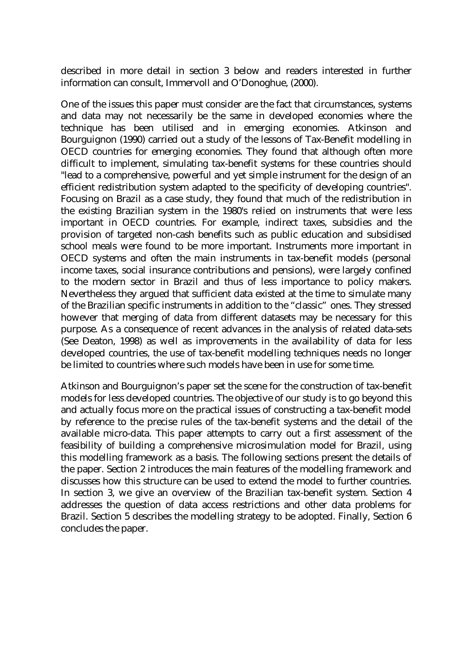described in more detail in section 3 below and readers interested in further information can consult, Immervoll and O'Donoghue, (2000).

One of the issues this paper must consider are the fact that circumstances, systems and data may not necessarily be the same in developed economies where the technique has been utilised and in emerging economies. Atkinson and Bourguignon (1990) carried out a study of the lessons of Tax-Benefit modelling in OECD countries for emerging economies. They found that although often more difficult to implement, simulating tax-benefit systems for these countries should "lead to a comprehensive, powerful and yet simple instrument for the design of an efficient redistribution system adapted to the specificity of developing countries". Focusing on Brazil as a case study, they found that much of the redistribution in the existing Brazilian system in the 1980's relied on instruments that were less important in OECD countries. For example, indirect taxes, subsidies and the provision of targeted non-cash benefits such as public education and subsidised school meals were found to be more important. Instruments more important in OECD systems and often the main instruments in tax-benefit models (personal income taxes, social insurance contributions and pensions), were largely confined to the modern sector in Brazil and thus of less importance to policy makers. Nevertheless they argued that sufficient data existed at the time to simulate many of the Brazilian specific instruments in addition to the "classic" ones. They stressed however that merging of data from different datasets may be necessary for this purpose. As a consequence of recent advances in the analysis of related data-sets (See Deaton, 1998) as well as improvements in the availability of data for less developed countries, the use of tax-benefit modelling techniques needs no longer be limited to countries where such models have been in use for some time.

Atkinson and Bourguignon's paper set the scene for the construction of tax-benefit models for less developed countries. The objective of our study is to go beyond this and actually focus more on the practical issues of constructing a tax-benefit model by reference to the precise rules of the tax-benefit systems and the detail of the available micro-data. This paper attempts to carry out a first assessment of the feasibility of building a comprehensive microsimulation model for Brazil, using this modelling framework as a basis. The following sections present the details of the paper. Section 2 introduces the main features of the modelling framework and discusses how this structure can be used to extend the model to further countries. In section 3, we give an overview of the Brazilian tax-benefit system. Section 4 addresses the question of data access restrictions and other data problems for Brazil. Section 5 describes the modelling strategy to be adopted. Finally, Section 6 concludes the paper.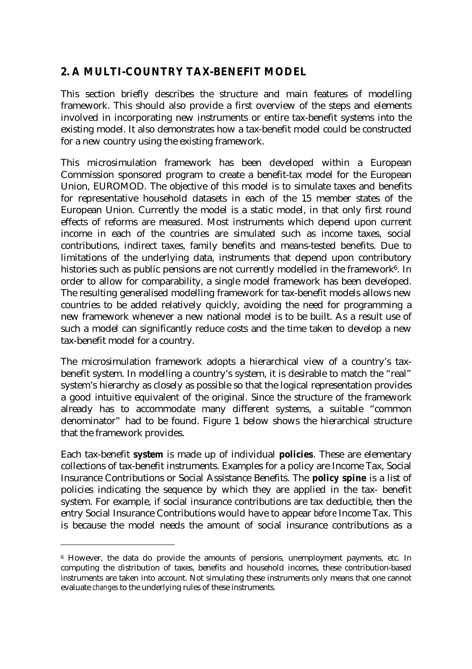## **2. A MULTI-COUNTRY TAX-BENEFIT MODEL**

This section briefly describes the structure and main features of modelling framework. This should also provide a first overview of the steps and elements involved in incorporating new instruments or entire tax-benefit systems into the existing model. It also demonstrates how a tax-benefit model could be constructed for a new country using the existing framework.

This microsimulation framework has been developed within a European Commission sponsored program to create a benefit-tax model for the European Union, EUROMOD. The objective of this model is to simulate taxes and benefits for representative household datasets in each of the 15 member states of the European Union. Currently the model is a static model, in that only first round effects of reforms are measured. Most instruments which depend upon current income in each of the countries are simulated such as income taxes, social contributions, indirect taxes, family benefits and means-tested benefits. Due to limitations of the underlying data, instruments that depend upon contributory histories such as public pensions are not currently modelled in the framework $\rm^6$ . In order to allow for comparability, a single model framework has been developed. The resulting generalised modelling framework for tax-benefit models allows new countries to be added relatively quickly, avoiding the need for programming a new framework whenever a new national model is to be built. As a result use of such a model can significantly reduce costs and the time taken to develop a new tax-benefit model for a country.

The microsimulation framework adopts a hierarchical view of a country's taxbenefit system. In modelling a country's system, it is desirable to match the "real" system's hierarchy as closely as possible so that the logical representation provides a good intuitive equivalent of the original. Since the structure of the framework already has to accommodate many different systems, a suitable "common denominator" had to be found. Figure 1 below shows the hierarchical structure that the framework provides.

Each tax-benefit **system** is made up of individual **policies**. These are elementary collections of tax-benefit instruments. Examples for a policy are Income Tax, Social Insurance Contributions or Social Assistance Benefits. The **policy spine** is a list of policies indicating the sequence by which they are applied in the tax- benefit system. For example, if social insurance contributions are tax deductible, then the entry Social Insurance Contributions would have to appear *before* Income Tax. This is because the model needs the amount of social insurance contributions as a

l

<sup>6</sup> However, the data do provide the amounts of pensions, unemployment payments, etc. In computing the distribution of taxes, benefits and household incomes, these contribution-based instruments are taken into account. Not simulating these instruments only means that one cannot evaluate *changes* to the underlying rules of these instruments.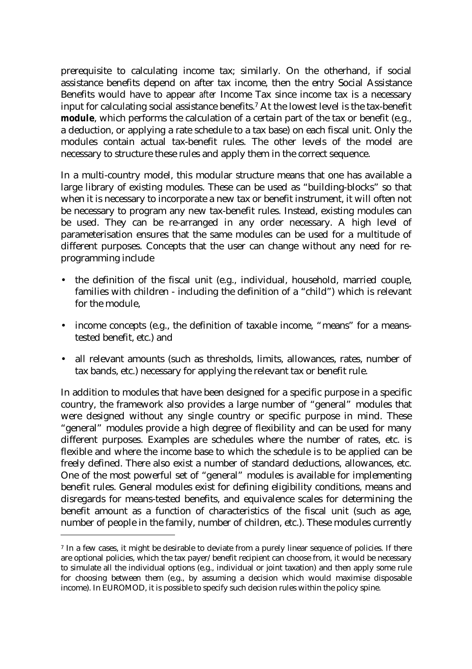prerequisite to calculating income tax; similarly. On the otherhand, if social assistance benefits depend on after tax income, then the entry Social Assistance Benefits would have to appear *after* Income Tax since income tax is a necessary input for calculating social assistance benefits.<sup>7</sup> At the lowest level is the tax-benefit **module**, which performs the calculation of a certain part of the tax or benefit (e.g., a deduction, or applying a rate schedule to a tax base) on each fiscal unit. Only the modules contain actual tax-benefit rules. The other levels of the model are necessary to structure these rules and apply them in the correct sequence.

In a multi-country model, this modular structure means that one has available a large library of existing modules. These can be used as "building-blocks" so that when it is necessary to incorporate a new tax or benefit instrument, it will often not be necessary to program any new tax-benefit rules. Instead, existing modules can be used. They can be re-arranged in any order necessary. A high level of parameterisation ensures that the same modules can be used for a multitude of different purposes. Concepts that the user can change without any need for reprogramming include

- the definition of the fiscal unit (e.g., individual, household, married couple, families with children - including the definition of a "child") which is relevant for the module,
- income concepts (e.g., the definition of taxable income, "means" for a meanstested benefit, etc.) and
- all relevant amounts (such as thresholds, limits, allowances, rates, number of tax bands, etc.) necessary for applying the relevant tax or benefit rule.

In addition to modules that have been designed for a specific purpose in a specific country, the framework also provides a large number of "general" modules that were designed without any single country or specific purpose in mind. These "general" modules provide a high degree of flexibility and can be used for many different purposes. Examples are schedules where the number of rates, etc. is flexible and where the income base to which the schedule is to be applied can be freely defined. There also exist a number of standard deductions, allowances, etc. One of the most powerful set of "general" modules is available for implementing benefit rules. General modules exist for defining eligibility conditions, means and disregards for means-tested benefits, and equivalence scales for determining the benefit amount as a function of characteristics of the fiscal unit (such as age, number of people in the family, number of children, etc.). These modules currently

l

<sup>7</sup> In a few cases, it might be desirable to deviate from a purely linear sequence of policies. If there are optional policies, which the tax payer/benefit recipient can choose from, it would be necessary to simulate all the individual options (e.g., individual or joint taxation) and then apply some rule for choosing between them (e.g., by assuming a decision which would maximise disposable income). In EUROMOD, it is possible to specify such decision rules within the policy spine.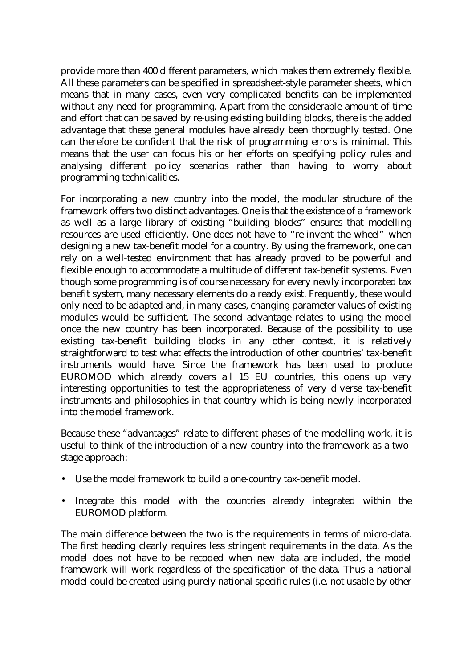provide more than 400 different parameters, which makes them extremely flexible. All these parameters can be specified in spreadsheet-style parameter sheets, which means that in many cases, even very complicated benefits can be implemented without any need for programming. Apart from the considerable amount of time and effort that can be saved by re-using existing building blocks, there is the added advantage that these general modules have already been thoroughly tested. One can therefore be confident that the risk of programming errors is minimal. This means that the user can focus his or her efforts on specifying policy rules and analysing different policy scenarios rather than having to worry about programming technicalities.

For incorporating a new country into the model, the modular structure of the framework offers two distinct advantages. One is that the existence of a framework as well as a large library of existing "building blocks" ensures that modelling resources are used efficiently. One does not have to "re-invent the wheel" when designing a new tax-benefit model for a country. By using the framework, one can rely on a well-tested environment that has already proved to be powerful and flexible enough to accommodate a multitude of different tax-benefit systems. Even though some programming is of course necessary for every newly incorporated tax benefit system, many necessary elements do already exist. Frequently, these would only need to be adapted and, in many cases, changing parameter values of existing modules would be sufficient. The second advantage relates to using the model once the new country has been incorporated. Because of the possibility to use existing tax-benefit building blocks in any other context, it is relatively straightforward to test what effects the introduction of other countries' tax-benefit instruments would have. Since the framework has been used to produce EUROMOD which already covers all 15 EU countries, this opens up very interesting opportunities to test the appropriateness of very diverse tax-benefit instruments and philosophies in that country which is being newly incorporated into the model framework.

Because these "advantages" relate to different phases of the modelling work, it is useful to think of the introduction of a new country into the framework as a twostage approach:

- Use the model framework to build a one-country tax-benefit model.
- Integrate this model with the countries already integrated within the EUROMOD platform.

The main difference between the two is the requirements in terms of micro-data. The first heading clearly requires less stringent requirements in the data. As the model does not have to be recoded when new data are included, the model framework will work regardless of the specification of the data. Thus a national model could be created using purely national specific rules (i.e. not usable by other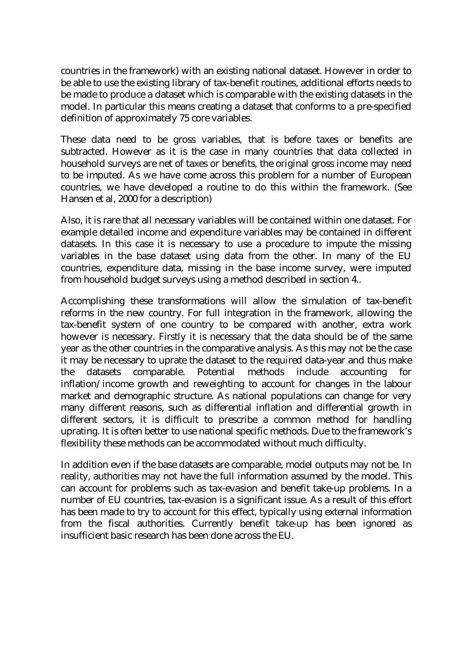countries in the framework) with an existing national dataset. However in order to be able to use the existing library of tax-benefit routines, additional efforts needs to be made to produce a dataset which is comparable with the existing datasets in the model. In particular this means creating a dataset that conforms to a pre-specified definition of approximately 75 core variables.

These data need to be gross variables, that is before taxes or benefits are subtracted. However as it is the case in many countries that data collected in household surveys are net of taxes or benefits, the original gross income may need to be imputed. As we have come across this problem for a number of European countries, we have developed a routine to do this within the framework. (See Hansen et al, 2000 for a description)

Also, it is rare that all necessary variables will be contained within one dataset. For example detailed income and expenditure variables may be contained in different datasets. In this case it is necessary to use a procedure to impute the missing variables in the base dataset using data from the other. In many of the EU countries, expenditure data, missing in the base income survey, were imputed from household budget surveys using a method described in section 4..

Accomplishing these transformations will allow the simulation of tax-benefit reforms in the new country. For full integration in the framework, allowing the tax-benefit system of one country to be compared with another, extra work however is necessary. Firstly it is necessary that the data should be of the same year as the other countries in the comparative analysis. As this may not be the case it may be necessary to uprate the dataset to the required data-year and thus make the datasets comparable. Potential methods include accounting inflation/income growth and reweighting to account for changes in the labour market and demographic structure. As national populations can change for very many different reasons, such as differential inflation and differential growth in different sectors, it is difficult to prescribe a common method for handling uprating. It is often better to use national specific methods. Due to the framework's flexibility these methods can be accommodated without much difficulty.

In addition even if the base datasets are comparable, model outputs may not be. In reality, authorities may not have the full information assumed by the model. This can account for problems such as tax-evasion and benefit take-up problems. In a number of EU countries, tax-evasion is a significant issue. As a result of this effort has been made to try to account for this effect, typically using external information from the fiscal authorities. Currently benefit take-up has been ignored as insufficient basic research has been done across the EU.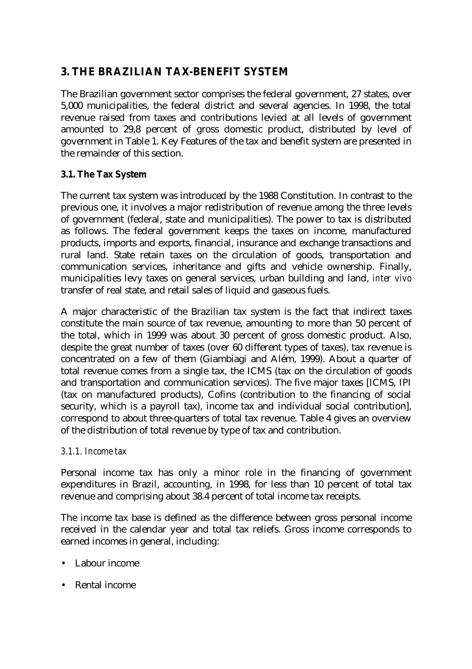# **3. THE BRAZILIAN TAX-BENEFIT SYSTEM**

The Brazilian government sector comprises the federal government, 27 states, over 5,000 municipalities, the federal district and several agencies. In 1998, the total revenue raised from taxes and contributions levied at all levels of government amounted to 29,8 percent of gross domestic product, distributed by level of government in Table 1. Key Features of the tax and benefit system are presented in the remainder of this section.

### **3.1. The Tax System**

The current tax system was introduced by the 1988 Constitution. In contrast to the previous one, it involves a major redistribution of revenue among the three levels of government (federal, state and municipalities). The power to tax is distributed as follows. The federal government keeps the taxes on income, manufactured products, imports and exports, financial, insurance and exchange transactions and rural land. State retain taxes on the circulation of goods, transportation and communication services, inheritance and gifts and vehicle ownership. Finally, municipalities levy taxes on general services, urban building and land, *inter vivo* transfer of real state, and retail sales of liquid and gaseous fuels.

A major characteristic of the Brazilian tax system is the fact that indirect taxes constitute the main source of tax revenue, amounting to more than 50 percent of the total, which in 1999 was about 30 percent of gross domestic product. Also, despite the great number of taxes (over 60 different types of taxes), tax revenue is concentrated on a few of them (Giambiagi and Além, 1999). About a quarter of total revenue comes from a single tax, the ICMS (tax on the circulation of goods and transportation and communication services). The five major taxes [ICMS, IPI (tax on manufactured products), Cofins (contribution to the financing of social security, which is a payroll tax), income tax and individual social contribution], correspond to about three-quarters of total tax revenue. Table 4 gives an overview of the distribution of total revenue by type of tax and contribution.

#### *3.1.1. Income tax*

Personal income tax has only a minor role in the financing of government expenditures in Brazil, accounting, in 1998, for less than 10 percent of total tax revenue and comprising about 38.4 percent of total income tax receipts.

The income tax base is defined as the difference between gross personal income received in the calendar year and total tax reliefs. Gross income corresponds to earned incomes in general, including:

- Labour income
- Rental income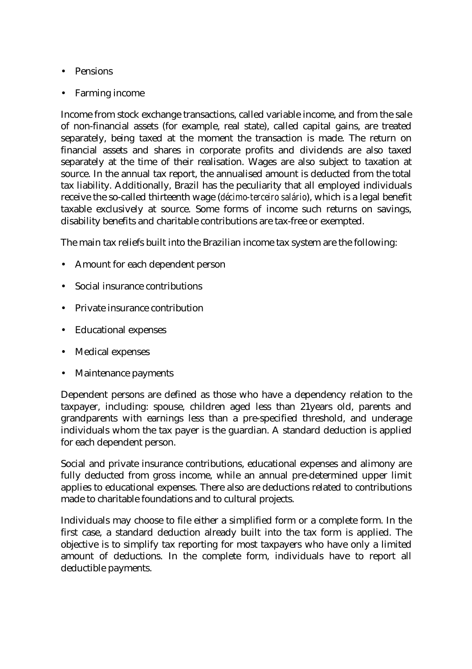- Pensions
- Farming income

Income from stock exchange transactions, called variable income, and from the sale of non-financial assets (for example, real state), called capital gains, are treated separately, being taxed at the moment the transaction is made. The return on financial assets and shares in corporate profits and dividends are also taxed separately at the time of their realisation. Wages are also subject to taxation at source. In the annual tax report, the annualised amount is deducted from the total tax liability. Additionally, Brazil has the peculiarity that all employed individuals receive the so-called thirteenth wage (*décimo-terceiro salário*), which is a legal benefit taxable exclusively at source. Some forms of income such returns on savings, disability benefits and charitable contributions are tax-free or exempted.

The main tax reliefs built into the Brazilian income tax system are the following:

- Amount for each dependent person
- Social insurance contributions
- Private insurance contribution
- Educational expenses
- Medical expenses
- Maintenance payments

Dependent persons are defined as those who have a dependency relation to the taxpayer, including: spouse, children aged less than 21years old, parents and grandparents with earnings less than a pre-specified threshold, and underage individuals whom the tax payer is the guardian. A standard deduction is applied for each dependent person.

Social and private insurance contributions, educational expenses and alimony are fully deducted from gross income, while an annual pre-determined upper limit applies to educational expenses. There also are deductions related to contributions made to charitable foundations and to cultural projects.

Individuals may choose to file either a simplified form or a complete form. In the first case, a standard deduction already built into the tax form is applied. The objective is to simplify tax reporting for most taxpayers who have only a limited amount of deductions. In the complete form, individuals have to report all deductible payments.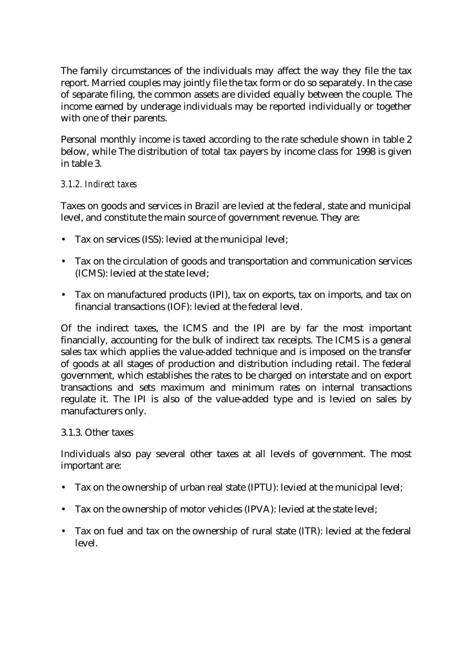The family circumstances of the individuals may affect the way they file the tax report. Married couples may jointly file the tax form or do so separately. In the case of separate filing, the common assets are divided equally between the couple. The income earned by underage individuals may be reported individually or together with one of their parents.

Personal monthly income is taxed according to the rate schedule shown in table 2 below, while The distribution of total tax payers by income class for 1998 is given in table 3.

#### *3.1.2. Indirect taxes*

Taxes on goods and services in Brazil are levied at the federal, state and municipal level, and constitute the main source of government revenue. They are:

- Tax on services (ISS): levied at the municipal level;
- Tax on the circulation of goods and transportation and communication services (ICMS): levied at the state level;
- Tax on manufactured products (IPI), tax on exports, tax on imports, and tax on financial transactions (IOF): levied at the federal level.

Of the indirect taxes, the ICMS and the IPI are by far the most important financially, accounting for the bulk of indirect tax receipts. The ICMS is a general sales tax which applies the value-added technique and is imposed on the transfer of goods at all stages of production and distribution including retail. The federal government, which establishes the rates to be charged on interstate and on export transactions and sets maximum and minimum rates on internal transactions regulate it. The IPI is also of the value-added type and is levied on sales by manufacturers only.

#### 3.1.3. Other taxes

Individuals also pay several other taxes at all levels of government. The most important are:

- Tax on the ownership of urban real state (IPTU): levied at the municipal level;
- Tax on the ownership of motor vehicles (IPVA): levied at the state level;
- Tax on fuel and tax on the ownership of rural state (ITR): levied at the federal level.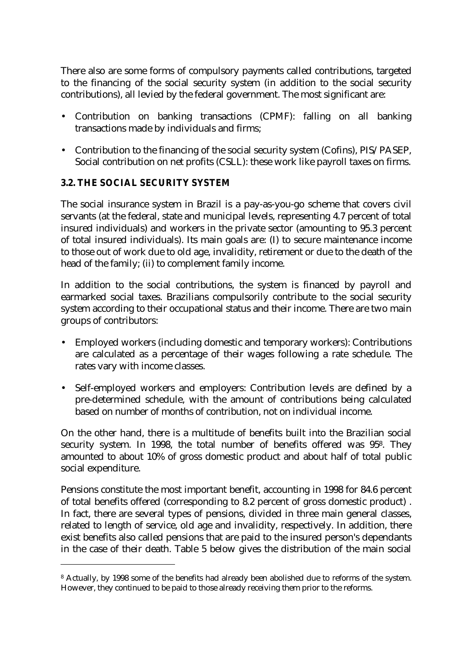There also are some forms of compulsory payments called contributions, targeted to the financing of the social security system (in addition to the social security contributions), all levied by the federal government. The most significant are:

- Contribution on banking transactions (CPMF): falling on all banking transactions made by individuals and firms;
- Contribution to the financing of the social security system (Cofins), PIS/PASEP, Social contribution on net profits (CSLL): these work like payroll taxes on firms.

### **3.2. THE SOCIAL SECURITY SYSTEM**

l

The social insurance system in Brazil is a pay-as-you-go scheme that covers civil servants (at the federal, state and municipal levels, representing 4.7 percent of total insured individuals) and workers in the private sector (amounting to 95.3 percent of total insured individuals). Its main goals are: (I) to secure maintenance income to those out of work due to old age, invalidity, retirement or due to the death of the head of the family; (ii) to complement family income.

In addition to the social contributions, the system is financed by payroll and earmarked social taxes. Brazilians compulsorily contribute to the social security system according to their occupational status and their income. There are two main groups of contributors:

- Employed workers (including domestic and temporary workers): Contributions are calculated as a percentage of their wages following a rate schedule. The rates vary with income classes.
- Self-employed workers and employers: Contribution levels are defined by a pre-determined schedule, with the amount of contributions being calculated based on number of months of contribution, not on individual income.

On the other hand, there is a multitude of benefits built into the Brazilian social security system. In 1998, the total number of benefits offered was 95<sup>8</sup>. They amounted to about 10% of gross domestic product and about half of total public social expenditure.

Pensions constitute the most important benefit, accounting in 1998 for 84.6 percent of total benefits offered (corresponding to 8.2 percent of gross domestic product) . In fact, there are several types of pensions, divided in three main general classes, related to length of service, old age and invalidity, respectively. In addition, there exist benefits also called pensions that are paid to the insured person's dependants in the case of their death. Table 5 below gives the distribution of the main social

<sup>8</sup> Actually, by 1998 some of the benefits had already been abolished due to reforms of the system. However, they continued to be paid to those already receiving them prior to the reforms.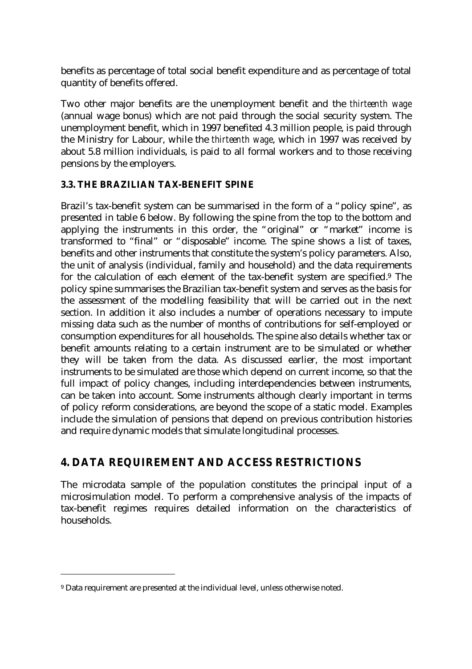benefits as percentage of total social benefit expenditure and as percentage of total quantity of benefits offered.

Two other major benefits are the unemployment benefit and the *thirteenth wage* (annual wage bonus) which are not paid through the social security system. The unemployment benefit, which in 1997 benefited 4.3 million people, is paid through the Ministry for Labour, while the *thirteenth wage*, which in 1997 was received by about 5.8 million individuals, is paid to all formal workers and to those receiving pensions by the employers.

#### **3.3. THE BRAZILIAN TAX-BENEFIT SPINE**

Brazil's tax-benefit system can be summarised in the form of a "policy spine", as presented in table 6 below. By following the spine from the top to the bottom and applying the instruments in this order, the "original" or "market" income is transformed to "final" or "disposable" income. The spine shows a list of taxes, benefits and other instruments that constitute the system's policy parameters. Also, the unit of analysis (individual, family and household) and the data requirements for the calculation of each element of the tax-benefit system are specified.<sup>9</sup> The policy spine summarises the Brazilian tax-benefit system and serves as the basis for the assessment of the modelling feasibility that will be carried out in the next section. In addition it also includes a number of operations necessary to impute missing data such as the number of months of contributions for self-employed or consumption expenditures for all households. The spine also details whether tax or benefit amounts relating to a certain instrument are to be simulated or whether they will be taken from the data. As discussed earlier, the most important instruments to be simulated are those which depend on current income, so that the full impact of policy changes, including interdependencies between instruments, can be taken into account. Some instruments although clearly important in terms of policy reform considerations, are beyond the scope of a static model. Examples include the simulation of pensions that depend on previous contribution histories and require dynamic models that simulate longitudinal processes.

## **4. DATA REQUIREMENT AND ACCESS RESTRICTIONS**

The microdata sample of the population constitutes the principal input of a microsimulation model. To perform a comprehensive analysis of the impacts of tax-benefit regimes requires detailed information on the characteristics of households.

l

<sup>&</sup>lt;sup>9</sup> Data requirement are presented at the individual level, unless otherwise noted.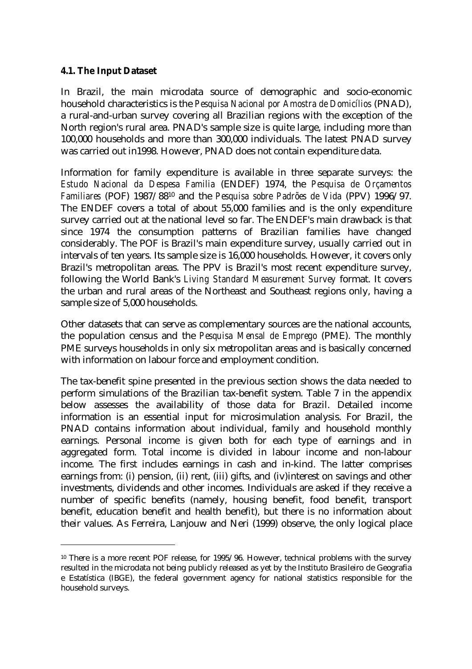#### **4.1. The Input Dataset**

l

In Brazil, the main microdata source of demographic and socio-economic household characteristics is the *Pesquisa Nacional por Amostra de Domicílios* (PNAD), a rural-and-urban survey covering all Brazilian regions with the exception of the North region's rural area. PNAD's sample size is quite large, including more than 100,000 households and more than 300,000 individuals. The latest PNAD survey was carried out in1998. However, PNAD does not contain expenditure data.

Information for family expenditure is available in three separate surveys: the *Estudo Nacional da Despesa Familia* (ENDEF) 1974, the *Pesquisa de Orçamentos Familiares* (POF) 1987/8810 and the *Pesquisa sobre Padrões de Vida* (PPV) 1996/97. The ENDEF covers a total of about 55,000 families and is the only expenditure survey carried out at the national level so far. The ENDEF's main drawback is that since 1974 the consumption patterns of Brazilian families have changed considerably. The POF is Brazil's main expenditure survey, usually carried out in intervals of ten years. Its sample size is 16,000 households. However, it covers only Brazil's metropolitan areas. The PPV is Brazil's most recent expenditure survey, following the World Bank's *Living Standard Measurement Survey* format. It covers the urban and rural areas of the Northeast and Southeast regions only, having a sample size of 5,000 households.

Other datasets that can serve as complementary sources are the national accounts, the population census and the *Pesquisa Mensal de Emprego* (PME). The monthly PME surveys households in only six metropolitan areas and is basically concerned with information on labour force and employment condition.

The tax-benefit spine presented in the previous section shows the data needed to perform simulations of the Brazilian tax-benefit system. Table 7 in the appendix below assesses the availability of those data for Brazil. Detailed income information is an essential input for microsimulation analysis. For Brazil, the PNAD contains information about individual, family and household monthly earnings. Personal income is given both for each type of earnings and in aggregated form. Total income is divided in labour income and non-labour income. The first includes earnings in cash and in-kind. The latter comprises earnings from: (i) pension, (ii) rent, (iii) gifts, and (iv)interest on savings and other investments, dividends and other incomes. Individuals are asked if they receive a number of specific benefits (namely, housing benefit, food benefit, transport benefit, education benefit and health benefit), but there is no information about their values. As Ferreira, Lanjouw and Neri (1999) observe, the only logical place

<sup>10</sup> There is a more recent POF release, for 1995/96. However, technical problems with the survey resulted in the microdata not being publicly released as yet by the Instituto Brasileiro de Geografia e Estatística (IBGE), the federal government agency for national statistics responsible for the household surveys.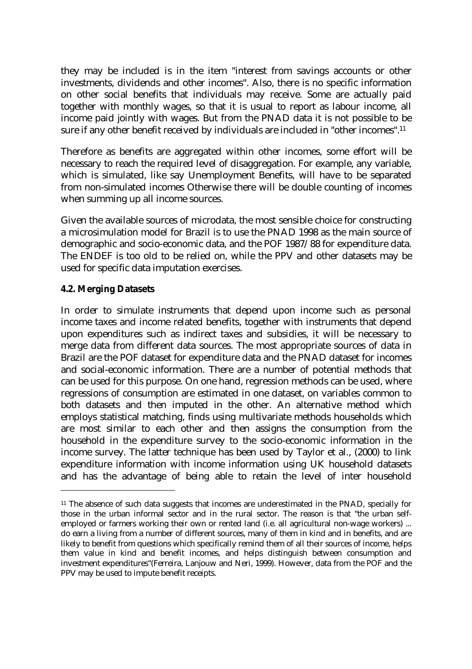they may be included is in the item "interest from savings accounts or other investments, dividends and other incomes". Also, there is no specific information on other social benefits that individuals may receive. Some are actually paid together with monthly wages, so that it is usual to report as labour income, all income paid jointly with wages. But from the PNAD data it is not possible to be sure if any other benefit received by individuals are included in "other incomes".<sup>11</sup>

Therefore as benefits are aggregated within other incomes, some effort will be necessary to reach the required level of disaggregation. For example, any variable, which is simulated, like say Unemployment Benefits, will have to be separated from non-simulated incomes Otherwise there will be double counting of incomes when summing up all income sources.

Given the available sources of microdata, the most sensible choice for constructing a microsimulation model for Brazil is to use the PNAD 1998 as the main source of demographic and socio-economic data, and the POF 1987/88 for expenditure data. The ENDEF is too old to be relied on, while the PPV and other datasets may be used for specific data imputation exercises.

#### **4.2. Merging Datasets**

l

In order to simulate instruments that depend upon income such as personal income taxes and income related benefits, together with instruments that depend upon expenditures such as indirect taxes and subsidies, it will be necessary to merge data from different data sources. The most appropriate sources of data in Brazil are the POF dataset for expenditure data and the PNAD dataset for incomes and social-economic information. There are a number of potential methods that can be used for this purpose. On one hand, regression methods can be used, where regressions of consumption are estimated in one dataset, on variables common to both datasets and then imputed in the other. An alternative method which employs statistical matching, finds using multivariate methods households which are most similar to each other and then assigns the consumption from the household in the expenditure survey to the socio-economic information in the income survey. The latter technique has been used by Taylor et al., (2000) to link expenditure information with income information using UK household datasets and has the advantage of being able to retain the level of inter household

<sup>&</sup>lt;sup>11</sup> The absence of such data suggests that incomes are underestimated in the PNAD, specially for those in the urban informal sector and in the rural sector. The reason is that "the urban selfemployed or farmers working their own or rented land (i.e. all agricultural non-wage workers) ... do earn a living from a number of different sources, many of them in kind and in benefits, and are likely to benefit from questions which specifically remind them of all their sources of income, helps them value in kind and benefit incomes, and helps distinguish between consumption and investment expenditures"(Ferreira, Lanjouw and Neri, 1999). However, data from the POF and the PPV may be used to impute benefit receipts.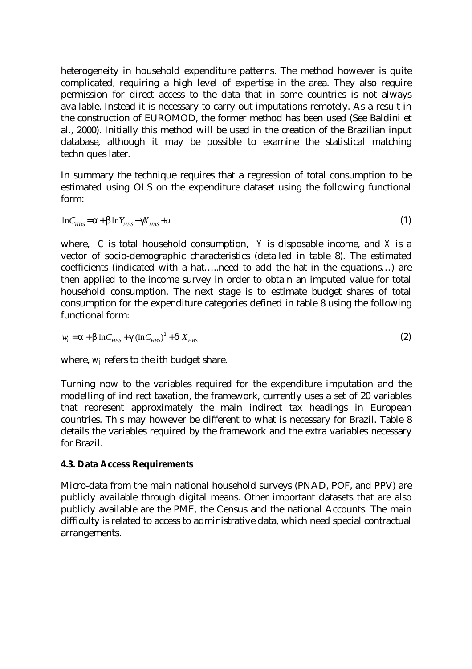heterogeneity in household expenditure patterns. The method however is quite complicated, requiring a high level of expertise in the area. They also require permission for direct access to the data that in some countries is not always available. Instead it is necessary to carry out imputations remotely. As a result in the construction of EUROMOD, the former method has been used (See Baldini et al., 2000). Initially this method will be used in the creation of the Brazilian input database, although it may be possible to examine the statistical matching techniques later.

In summary the technique requires that a regression of total consumption to be estimated using OLS on the expenditure dataset using the following functional form:

$$
lnC_{HBS} = \boldsymbol{a} + \boldsymbol{b} lnY_{HBS} + \boldsymbol{g}_{HBS} + u \tag{1}
$$

where, *C* is total household consumption, *Y* is disposable income, and *X* is a vector of socio-demographic characteristics (detailed in table 8). The estimated coefficients (indicated with a hat… ..need to add the hat in the equations… ) are then applied to the income survey in order to obtain an imputed value for total household consumption. The next stage is to estimate budget shares of total consumption for the expenditure categories defined in table 8 using the following functional form:

$$
w_i = \mathbf{a} + \mathbf{b} \ln C_{HBS} + \mathbf{g} (\ln C_{HBS})^2 + \mathbf{d} X_{HBS}
$$
 (2)

where, *wi* refers to the *i*th budget share.

Turning now to the variables required for the expenditure imputation and the modelling of indirect taxation, the framework, currently uses a set of 20 variables that represent approximately the main indirect tax headings in European countries. This may however be different to what is necessary for Brazil. Table 8 details the variables required by the framework and the extra variables necessary for Brazil.

#### **4.3. Data Access Requirements**

Micro-data from the main national household surveys (PNAD, POF, and PPV) are publicly available through digital means. Other important datasets that are also publicly available are the PME, the Census and the national Accounts. The main difficulty is related to access to administrative data, which need special contractual arrangements.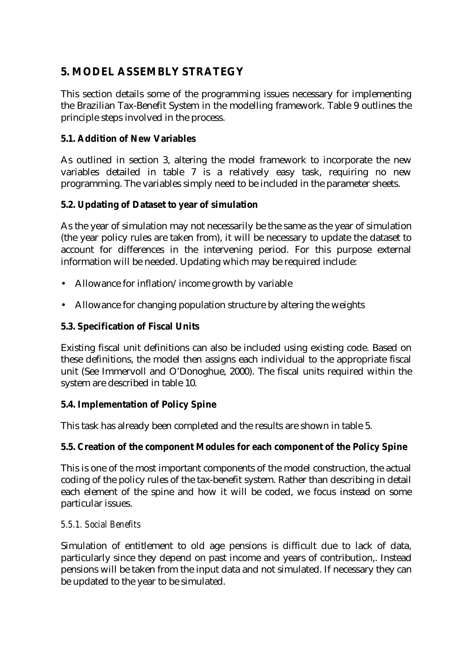# **5. MODEL ASSEMBLY STRATEGY**

This section details some of the programming issues necessary for implementing the Brazilian Tax-Benefit System in the modelling framework. Table 9 outlines the principle steps involved in the process.

## **5.1. Addition of New Variables**

As outlined in section 3, altering the model framework to incorporate the new variables detailed in table 7 is a relatively easy task, requiring no new programming. The variables simply need to be included in the parameter sheets.

## **5.2. Updating of Dataset to year of simulation**

As the year of simulation may not necessarily be the same as the year of simulation (the year policy rules are taken from), it will be necessary to update the dataset to account for differences in the intervening period. For this purpose external information will be needed. Updating which may be required include:

- Allowance for inflation/income growth by variable
- Allowance for changing population structure by altering the weights

## **5.3. Specification of Fiscal Units**

Existing fiscal unit definitions can also be included using existing code. Based on these definitions, the model then assigns each individual to the appropriate fiscal unit (See Immervoll and O'Donoghue, 2000). The fiscal units required within the system are described in table 10.

#### **5.4. Implementation of Policy Spine**

This task has already been completed and the results are shown in table 5.

#### **5.5. Creation of the component Modules for each component of the Policy Spine**

This is one of the most important components of the model construction, the actual coding of the policy rules of the tax-benefit system. Rather than describing in detail each element of the spine and how it will be coded, we focus instead on some particular issues.

#### *5.5.1. Social Benefits*

Simulation of entitlement to old age pensions is difficult due to lack of data, particularly since they depend on past income and years of contribution,. Instead pensions will be taken from the input data and not simulated. If necessary they can be updated to the year to be simulated.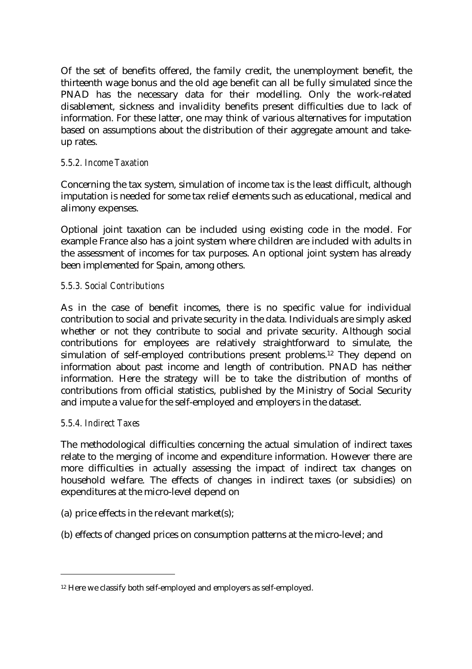Of the set of benefits offered, the family credit, the unemployment benefit, the thirteenth wage bonus and the old age benefit can all be fully simulated since the PNAD has the necessary data for their modelling. Only the work-related disablement, sickness and invalidity benefits present difficulties due to lack of information. For these latter, one may think of various alternatives for imputation based on assumptions about the distribution of their aggregate amount and takeup rates.

#### *5.5.2. Income Taxation*

Concerning the tax system, simulation of income tax is the least difficult, although imputation is needed for some tax relief elements such as educational, medical and alimony expenses.

Optional joint taxation can be included using existing code in the model. For example France also has a joint system where children are included with adults in the assessment of incomes for tax purposes. An optional joint system has already been implemented for Spain, among others.

#### *5.5.3. Social Contributions*

As in the case of benefit incomes, there is no specific value for individual contribution to social and private security in the data. Individuals are simply asked whether or not they contribute to social and private security. Although social contributions for employees are relatively straightforward to simulate, the simulation of self-employed contributions present problems.12 They depend on information about past income and length of contribution. PNAD has neither information. Here the strategy will be to take the distribution of months of contributions from official statistics, published by the Ministry of Social Security and impute a value for the self-employed and employers in the dataset.

#### *5.5.4. Indirect Taxes*

l

The methodological difficulties concerning the actual simulation of indirect taxes relate to the merging of income and expenditure information. However there are more difficulties in actually assessing the impact of indirect tax changes on household welfare. The effects of changes in indirect taxes (or subsidies) on expenditures at the micro-level depend on

- (a) price effects in the relevant market(s);
- (b) effects of changed prices on consumption patterns at the micro-level; and

<sup>&</sup>lt;sup>12</sup> Here we classify both self-employed and employers as self-employed.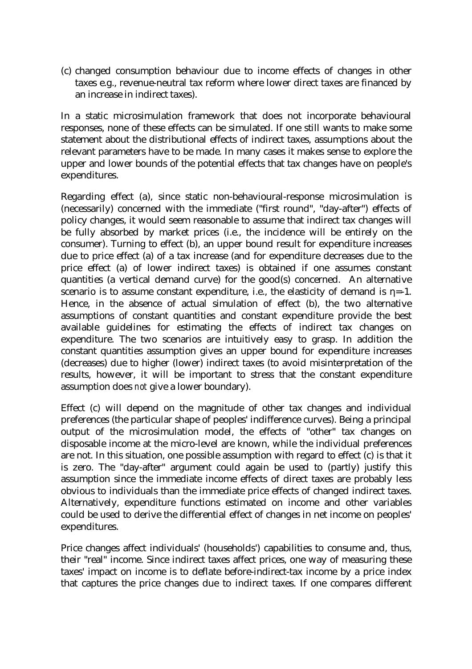(c) changed consumption behaviour due to income effects of changes in other taxes e.g., revenue-neutral tax reform where lower direct taxes are financed by an increase in indirect taxes).

In a static microsimulation framework that does not incorporate behavioural responses, none of these effects can be simulated. If one still wants to make some statement about the distributional effects of indirect taxes, assumptions about the relevant parameters have to be made. In many cases it makes sense to explore the upper and lower bounds of the potential effects that tax changes have on people's expenditures.

Regarding effect (a), since static non-behavioural-response microsimulation is (necessarily) concerned with the immediate ("first round", "day-after") effects of policy changes, it would seem reasonable to assume that indirect tax changes will be fully absorbed by market prices (i.e., the incidence will be entirely on the consumer). Turning to effect (b), an upper bound result for expenditure increases due to price effect (a) of a tax increase (and for expenditure decreases due to the price effect (a) of lower indirect taxes) is obtained if one assumes constant quantities (a vertical demand curve) for the good(s) concerned. An alternative scenario is to assume constant expenditure, i.e., the elasticity of demand is *h*=-1. Hence, in the absence of actual simulation of effect (b), the two alternative assumptions of constant quantities and constant expenditure provide the best available guidelines for estimating the effects of indirect tax changes on expenditure. The two scenarios are intuitively easy to grasp. In addition the constant quantities assumption gives an upper bound for expenditure increases (decreases) due to higher (lower) indirect taxes (to avoid misinterpretation of the results, however, it will be important to stress that the constant expenditure assumption does *not* give a lower boundary).

Effect (c) will depend on the magnitude of other tax changes and individual preferences (the particular shape of peoples' indifference curves). Being a principal output of the microsimulation model, the effects of "other" tax changes on disposable income at the micro-level are known, while the individual preferences are not. In this situation, one possible assumption with regard to effect (c) is that it is zero. The "day-after" argument could again be used to (partly) justify this assumption since the immediate income effects of direct taxes are probably less obvious to individuals than the immediate price effects of changed indirect taxes. Alternatively, expenditure functions estimated on income and other variables could be used to derive the differential effect of changes in net income on peoples' expenditures.

Price changes affect individuals' (households') capabilities to consume and, thus, their "real" income. Since indirect taxes affect prices, one way of measuring these taxes' impact on income is to deflate before-indirect-tax income by a price index that captures the price changes due to indirect taxes. If one compares different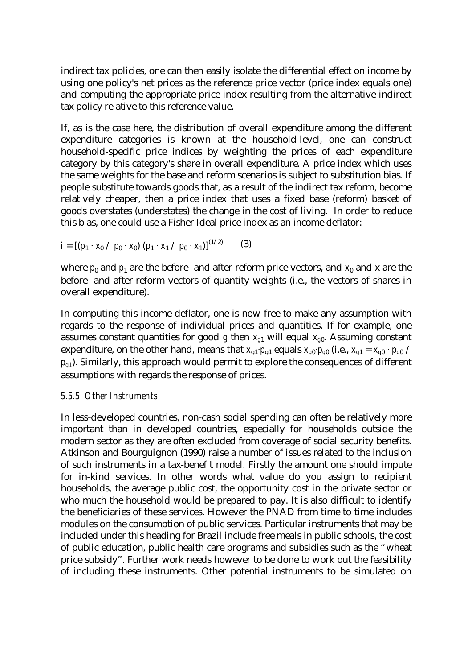indirect tax policies, one can then easily isolate the differential effect on income by using one policy's net prices as the reference price vector (price index equals one) and computing the appropriate price index resulting from the alternative indirect tax policy relative to this reference value.

If, as is the case here, the distribution of overall expenditure among the different expenditure categories is known at the household-level, one can construct household-specific price indices by weighting the prices of each expenditure category by this category's share in overall expenditure. A price index which uses the same weights for the base and reform scenarios is subject to substitution bias. If people substitute towards goods that, as a result of the indirect tax reform, become relatively cheaper, then a price index that uses a fixed base (reform) basket of goods overstates (understates) the change in the cost of living. In order to reduce this bias, one could use a Fisher Ideal price index as an income deflator:

$$
i = [(p_1 \cdot x_0 / p_0 \cdot x_0) (p_1 \cdot x_1 / p_0 \cdot x_1)]^{(1/2)}
$$
 (3)

where  $p_0$  and  $p_1$  are the before- and after-reform price vectors, and  $x_0$  and x are the before- and after-reform vectors of quantity weights (i.e., the vectors of shares in overall expenditure).

In computing this income deflator, one is now free to make any assumption with regards to the response of individual prices and quantities. If for example, one assumes constant quantities for good  $g$  then  $x_{g1}$  will equal  $x_{g0}$ . Assuming constant expenditure, on the other hand, means that  $x_{g1} \cdot p_{g1}$  equals  $x_{g0} \cdot p_{g0}$  (i.e.,  $x_{g1} = x_{g0} \cdot p_{g0}$  /  $p_{\varphi 1}$ ). Similarly, this approach would permit to explore the consequences of different assumptions with regards the response of prices.

#### *5.5.5. Other Instruments*

In less-developed countries, non-cash social spending can often be relatively more important than in developed countries, especially for households outside the modern sector as they are often excluded from coverage of social security benefits. Atkinson and Bourguignon (1990) raise a number of issues related to the inclusion of such instruments in a tax-benefit model. Firstly the amount one should impute for in-kind services. In other words what value do you assign to recipient households, the average public cost, the opportunity cost in the private sector or who much the household would be prepared to pay. It is also difficult to identify the beneficiaries of these services. However the PNAD from time to time includes modules on the consumption of public services. Particular instruments that may be included under this heading for Brazil include free meals in public schools, the cost of public education, public health care programs and subsidies such as the "wheat price subsidy". Further work needs however to be done to work out the feasibility of including these instruments. Other potential instruments to be simulated on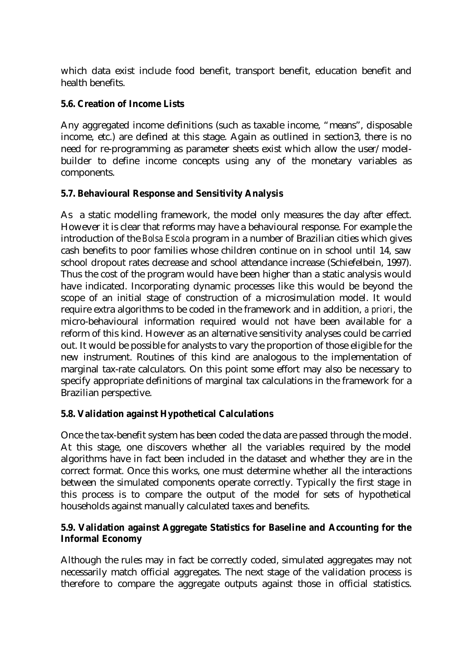which data exist include food benefit, transport benefit, education benefit and health benefits.

#### **5.6. Creation of Income Lists**

Any aggregated income definitions (such as taxable income, "means", disposable income, etc.) are defined at this stage. Again as outlined in section3, there is no need for re-programming as parameter sheets exist which allow the user/modelbuilder to define income concepts using any of the monetary variables as components.

#### **5.7. Behavioural Response and Sensitivity Analysis**

As a static modelling framework, the model only measures the day after effect. However it is clear that reforms may have a behavioural response. For example the introduction of the *Bolsa Escola* program in a number of Brazilian cities which gives cash benefits to poor families whose children continue on in school until 14, saw school dropout rates decrease and school attendance increase (Schiefelbein, 1997). Thus the cost of the program would have been higher than a static analysis would have indicated. Incorporating dynamic processes like this would be beyond the scope of an initial stage of construction of a microsimulation model. It would require extra algorithms to be coded in the framework and in addition, *a priori*, the micro-behavioural information required would not have been available for a reform of this kind. However as an alternative sensitivity analyses could be carried out. It would be possible for analysts to vary the proportion of those eligible for the new instrument. Routines of this kind are analogous to the implementation of marginal tax-rate calculators. On this point some effort may also be necessary to specify appropriate definitions of marginal tax calculations in the framework for a Brazilian perspective.

#### **5.8. Validation against Hypothetical Calculations**

Once the tax-benefit system has been coded the data are passed through the model. At this stage, one discovers whether all the variables required by the model algorithms have in fact been included in the dataset and whether they are in the correct format. Once this works, one must determine whether all the interactions between the simulated components operate correctly. Typically the first stage in this process is to compare the output of the model for sets of hypothetical households against manually calculated taxes and benefits.

#### **5.9. Validation against Aggregate Statistics for Baseline and Accounting for the Informal Economy**

Although the rules may in fact be correctly coded, simulated aggregates may not necessarily match official aggregates. The next stage of the validation process is therefore to compare the aggregate outputs against those in official statistics.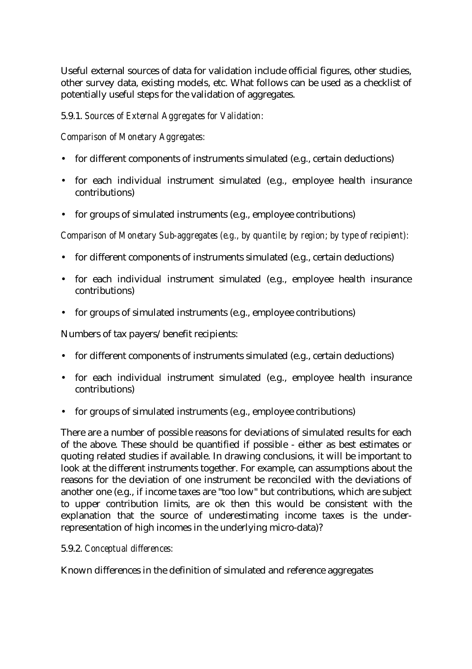Useful external sources of data for validation include official figures, other studies, other survey data, existing models, etc. What follows can be used as a checklist of potentially useful steps for the validation of aggregates.

5.9.1. *Sources of External Aggregates for Validation:*

*Comparison of Monetary Aggregates:*

- for different components of instruments simulated (e.g., certain deductions)
- for each individual instrument simulated (e.g., employee health insurance contributions)
- for groups of simulated instruments (e.g., employee contributions)

*Comparison of Monetary Sub-aggregates (e.g., by quantile; by region; by type of recipient):*

- for different components of instruments simulated (e.g., certain deductions)
- for each individual instrument simulated (e.g., employee health insurance contributions)
- for groups of simulated instruments (e.g., employee contributions)

Numbers of tax payers/benefit recipients:

- for different components of instruments simulated (e.g., certain deductions)
- for each individual instrument simulated (e.g., employee health insurance contributions)
- for groups of simulated instruments (e.g., employee contributions)

There are a number of possible reasons for deviations of simulated results for each of the above. These should be quantified if possible - either as best estimates or quoting related studies if available. In drawing conclusions, it will be important to look at the different instruments together. For example, can assumptions about the reasons for the deviation of one instrument be reconciled with the deviations of another one (e.g., if income taxes are "too low" but contributions, which are subject to upper contribution limits, are ok then this would be consistent with the explanation that the source of underestimating income taxes is the underrepresentation of high incomes in the underlying micro-data)?

#### 5.9.2. *Conceptual differences:*

Known differences in the definition of simulated and reference aggregates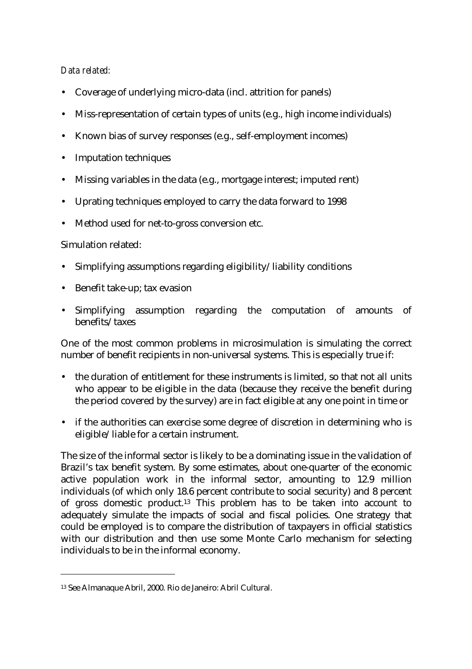#### *Data related:*

- Coverage of underlying micro-data (incl. attrition for panels)
- Miss-representation of certain types of units (e.g., high income individuals)
- Known bias of survey responses (e.g., self-employment incomes)
- Imputation techniques
- Missing variables in the data (e.g., mortgage interest; imputed rent)
- Uprating techniques employed to carry the data forward to 1998
- Method used for net-to-gross conversion etc.

#### Simulation related:

l

- Simplifying assumptions regarding eligibility/liability conditions
- Benefit take-up; tax evasion
- Simplifying assumption regarding the computation of amounts of benefits/taxes

One of the most common problems in microsimulation is simulating the correct number of benefit recipients in non-universal systems. This is especially true if:

- the duration of entitlement for these instruments is limited, so that not all units who appear to be eligible in the data (because they receive the benefit during the period covered by the survey) are in fact eligible at any one point in time or
- if the authorities can exercise some degree of discretion in determining who is eligible/liable for a certain instrument.

The size of the informal sector is likely to be a dominating issue in the validation of Brazil's tax benefit system. By some estimates, about one-quarter of the economic active population work in the informal sector, amounting to 12.9 million individuals (of which only 18.6 percent contribute to social security) and 8 percent of gross domestic product.13 This problem has to be taken into account to adequately simulate the impacts of social and fiscal policies. One strategy that could be employed is to compare the distribution of taxpayers in official statistics with our distribution and then use some Monte Carlo mechanism for selecting individuals to be in the informal economy.

<sup>13</sup> See Almanaque Abril, 2000. Rio de Janeiro: Abril Cultural.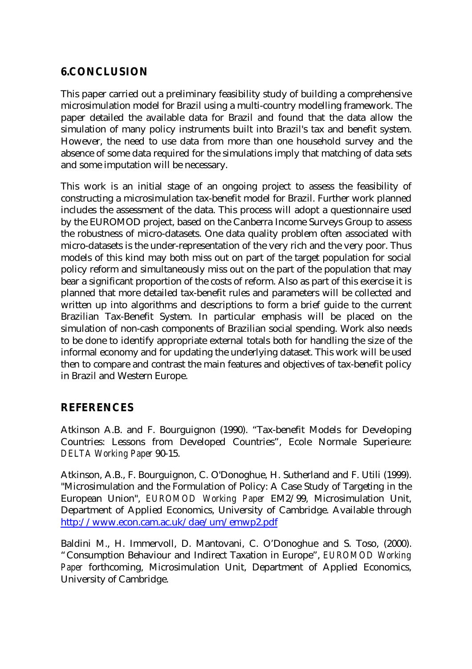## **6.CONCLUSION**

This paper carried out a preliminary feasibility study of building a comprehensive microsimulation model for Brazil using a multi-country modelling framework. The paper detailed the available data for Brazil and found that the data allow the simulation of many policy instruments built into Brazil's tax and benefit system. However, the need to use data from more than one household survey and the absence of some data required for the simulations imply that matching of data sets and some imputation will be necessary.

This work is an initial stage of an ongoing project to assess the feasibility of constructing a microsimulation tax-benefit model for Brazil. Further work planned includes the assessment of the data. This process will adopt a questionnaire used by the EUROMOD project, based on the Canberra Income Surveys Group to assess the robustness of micro-datasets. One data quality problem often associated with micro-datasets is the under-representation of the very rich and the very poor. Thus models of this kind may both miss out on part of the target population for social policy reform and simultaneously miss out on the part of the population that may bear a significant proportion of the costs of reform. Also as part of this exercise it is planned that more detailed tax-benefit rules and parameters will be collected and written up into algorithms and descriptions to form a brief guide to the current Brazilian Tax-Benefit System. In particular emphasis will be placed on the simulation of non-cash components of Brazilian social spending. Work also needs to be done to identify appropriate external totals both for handling the size of the informal economy and for updating the underlying dataset. This work will be used then to compare and contrast the main features and objectives of tax-benefit policy in Brazil and Western Europe.

## **REFERENCES**

Atkinson A.B. and F. Bourguignon (1990). "Tax-benefit Models for Developing Countries: Lessons from Developed Countries", Ecole Normale Superieure: *DELTA Working Paper* 90-15.

Atkinson, A.B., F. Bourguignon, C. O'Donoghue, H. Sutherland and F. Utili (1999). "Microsimulation and the Formulation of Policy: A Case Study of Targeting in the European Union", *EUROMOD Working Paper* EM2/99, Microsimulation Unit, Department of Applied Economics, University of Cambridge. Available through http://www.econ.cam.ac.uk/dae/um/emwp2.pdf

Baldini M., H. Immervoll, D. Mantovani, C. O'Donoghue and S. Toso, (2000). "Consumption Behaviour and Indirect Taxation in Europe", *EUROMOD Working Paper* forthcoming, Microsimulation Unit, Department of Applied Economics, University of Cambridge.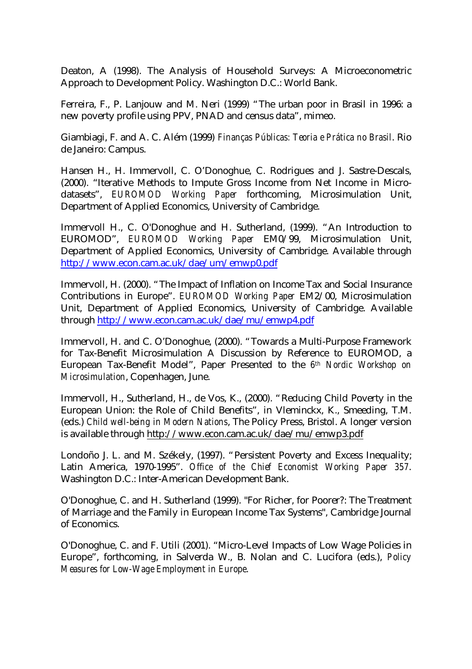Deaton, A (1998). The Analysis of Household Surveys: A Microeconometric Approach to Development Policy. Washington D.C.: World Bank.

Ferreira, F., P. Lanjouw and M. Neri (1999) "The urban poor in Brasil in 1996: a new poverty profile using PPV, PNAD and census data", mimeo.

Giambiagi, F. and A. C. Além (1999) *Finanças Públicas: Teoria e Prática no Brasil*. Rio de Janeiro: Campus.

Hansen H., H. Immervoll, C. O'Donoghue, C. Rodrigues and J. Sastre-Descals, (2000). "Iterative Methods to Impute Gross Income from Net Income in Microdatasets", *EUROMOD Working Paper* forthcoming, Microsimulation Unit, Department of Applied Economics, University of Cambridge.

Immervoll H., C. O'Donoghue and H. Sutherland, (1999). "An Introduction to EUROMOD", *EUROMOD Working Paper* EM0/99, Microsimulation Unit, Department of Applied Economics, University of Cambridge. Available through http://www.econ.cam.ac.uk/dae/um/emwp0.pdf

Immervoll, H. (2000). "The Impact of Inflation on Income Tax and Social Insurance Contributions in Europe". *EUROMOD Working Paper* EM2/00, Microsimulation Unit, Department of Applied Economics, University of Cambridge. Available through http://www.econ.cam.ac.uk/dae/mu/emwp4.pdf

Immervoll, H. and C. O'Donoghue, (2000). "Towards a Multi-Purpose Framework for Tax-Benefit Microsimulation A Discussion by Reference to EUROMOD, a European Tax-Benefit Model", Paper Presented to the *6 th Nordic Workshop on Microsimulation*, Copenhagen, June.

Immervoll, H., Sutherland, H., de Vos, K., (2000). "Reducing Child Poverty in the European Union: the Role of Child Benefits", in Vleminckx, K., Smeeding, T.M. (eds.) *Child well-being in Modern Nations*, The Policy Press, Bristol. A longer version is available through http://www.econ.cam.ac.uk/dae/mu/emwp3.pdf

Londoño J. L. and M. Székely, (1997). "Persistent Poverty and Excess Inequality; Latin America, 1970-1995". *Office of the Chief Economist Working Paper 357*. Washington D.C.: Inter-American Development Bank.

O'Donoghue, C. and H. Sutherland (1999). "For Richer, for Poorer?: The Treatment of Marriage and the Family in European Income Tax Systems", Cambridge Journal of Economics.

O'Donoghue, C. and F. Utili (2001). "Micro-Level Impacts of Low Wage Policies in Europe", forthcoming, in Salverda W., B. Nolan and C. Lucifora (eds.), *Policy Measures for Low-Wage Employment in Europe*.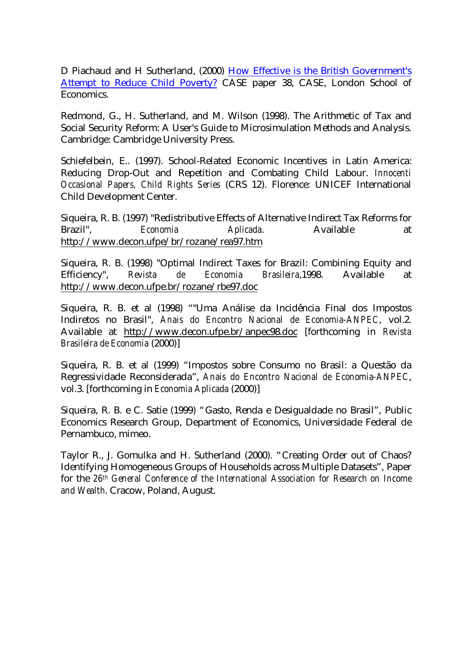D Piachaud and H Sutherland, (2000) How Effective is the British Government's Attempt to Reduce Child Poverty? CASE paper 38, CASE, London School of Economics.

Redmond, G., H. Sutherland, and M. Wilson (1998). The Arithmetic of Tax and Social Security Reform: A User's Guide to Microsimulation Methods and Analysis. Cambridge: Cambridge University Press.

Schiefelbein, E.. (1997). School-Related Economic Incentives in Latin America: Reducing Drop-Out and Repetition and Combating Child Labour. *Innocenti Occasional Papers, Child Rights Series* (CRS 12). Florence: UNICEF International Child Development Center.

Siqueira, R. B. (1997) "Redistributive Effects of Alternative Indirect Tax Reforms for Brazil", *Economia Aplicada*. Available at http://www.decon.ufpe/br/rozane/rea97.htm

Siqueira, R. B. (1998) "Optimal Indirect Taxes for Brazil: Combining Equity and Efficiency", *Revista de Economia Brasileira*,1998. Available at http://www.decon.ufpe.br/rozane/rbe97.doc

Siqueira, R. B. et al (1998) ""Uma Análise da Incidência Final dos Impostos Indiretos no Brasil", *Anais do Encontro Nacional de Economia-ANPEC*, vol.2. Available at http://www.decon.ufpe.br/anpec98.doc [forthcoming in *Revista Brasileira de Economia* (2000)]

Siqueira, R. B. et al (1999) "Impostos sobre Consumo no Brasil: a Questão da Regressividade Reconsiderada", *Anais do Encontro Nacional de Economia-ANPEC*, vol.3. [forthcoming in *Economia Aplicada* (2000)]

Siqueira, R. B. e C. Satie (1999) "Gasto, Renda e Desigualdade no Brasil", Public Economics Research Group, Department of Economics, Universidade Federal de Pernambuco, mimeo.

Taylor R., J. Gomulka and H. Sutherland (2000). "Creating Order out of Chaos? Identifying Homogeneous Groups of Households across Multiple Datasets", Paper for the *26th General Conference of the International Association for Research on Income and Wealth*. Cracow, Poland, August.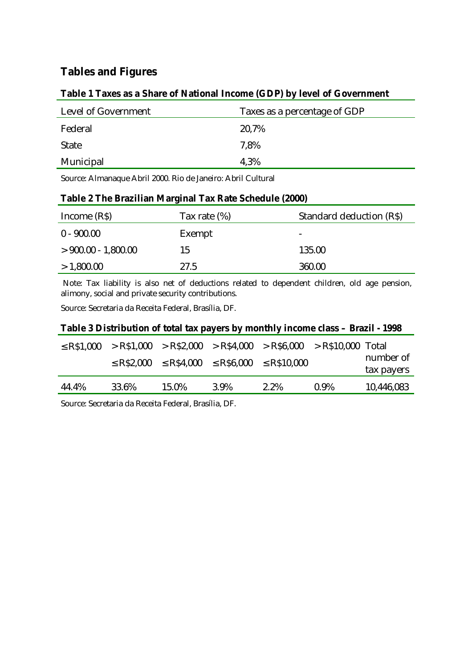# **Tables and Figures**

#### **Table 1 Taxes as a Share of National Income (GDP) by level of Government**

| Level of Government | Taxes as a percentage of GDP |
|---------------------|------------------------------|
| Federal             | 20,7%                        |
| <b>State</b>        | 7.8%                         |
| Municipal           | 4.3%                         |

Source: Almanaque Abril 2000. Rio de Janeiro: Abril Cultural

#### **Table 2 The Brazilian Marginal Tax Rate Schedule (2000)**

| Income $(R\$ )       | Tax rate $(\%)$ | Standard deduction (R\$) |
|----------------------|-----------------|--------------------------|
| $0 - 900.00$         | Exempt          | -                        |
| $>900.00 - 1,800.00$ | 15              | 135.00                   |
| >1,800.00            | 27.5            | 360.00                   |

 Note: Tax liability is also net of deductions related to dependent children, old age pension, alimony, social and private security contributions.

Source: Secretaria da Receita Federal, Brasília, DF.

#### **Table 3 Distribution of total tax payers by monthly income class – Brazil - 1998**

| 44.4% | 33.6% | 15.0% | 3.9% | 2.2%                                                                         | $0.9\%$ | 10,446,083              |
|-------|-------|-------|------|------------------------------------------------------------------------------|---------|-------------------------|
|       |       |       |      | $\le$ R\$2,000 $\le$ R\$4,000 $\le$ R\$6,000 $\le$ R\$10,000                 |         | number of<br>tax payers |
|       |       |       |      | $\le$ R\$1,000 > R\$1,000 > R\$2,000 > R\$4,000 > R\$6,000 > R\$10,000 Total |         |                         |

Source: Secretaria da Receita Federal, Brasília, DF.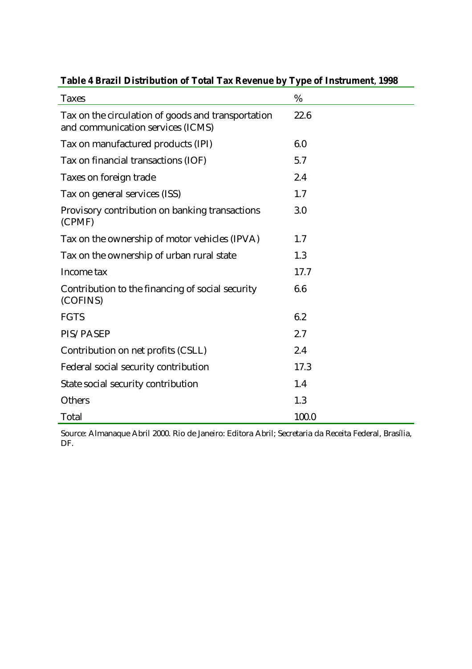| <b>Taxes</b>                                                                            | %     |
|-----------------------------------------------------------------------------------------|-------|
| Tax on the circulation of goods and transportation<br>and communication services (ICMS) | 22.6  |
| Tax on manufactured products (IPI)                                                      | 6.0   |
| Tax on financial transactions (IOF)                                                     | 5.7   |
| Taxes on foreign trade                                                                  | 2.4   |
| Tax on general services (ISS)                                                           | 1.7   |
| Provisory contribution on banking transactions<br>(CPMF)                                | 3.0   |
| Tax on the ownership of motor vehicles (IPVA)                                           | 1.7   |
| Tax on the ownership of urban rural state                                               | 1.3   |
| Income tax                                                                              | 17.7  |
| Contribution to the financing of social security<br>(COFINS)                            | 6.6   |
| <b>FGTS</b>                                                                             | 6.2   |
| PIS/PASEP                                                                               | 2.7   |
| Contribution on net profits (CSLL)                                                      | 2.4   |
| Federal social security contribution                                                    | 17.3  |
| State social security contribution                                                      | 1.4   |
| Others                                                                                  | 1.3   |
| Total                                                                                   | 100.0 |

## **Table 4 Brazil Distribution of Total Tax Revenue by Type of Instrument**, **1998**

Source: Almanaque Abril 2000. Rio de Janeiro: Editora Abril; Secretaria da Receita Federal, Brasília, DF.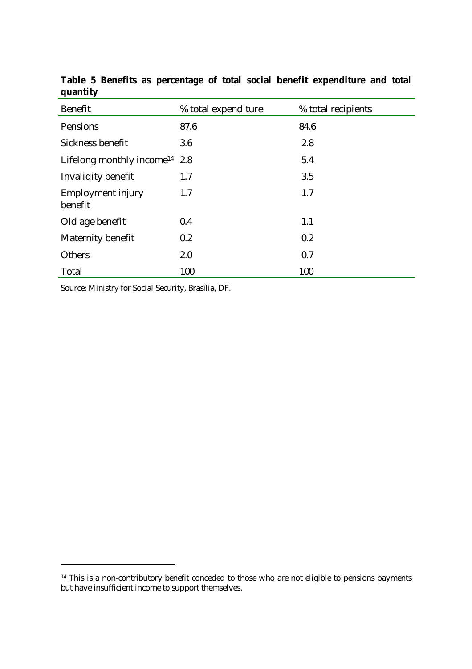| <b>Benefit</b>                            | % total expenditure | % total recipients |
|-------------------------------------------|---------------------|--------------------|
| Pensions                                  | 87.6                | 84.6               |
| Sickness benefit                          | 3.6                 | 2.8                |
| Lifelong monthly income <sup>14</sup> 2.8 |                     | 5.4                |
| <b>Invalidity benefit</b>                 | 1.7                 | 3.5                |
| <b>Employment injury</b><br>benefit       | 1.7                 | 1.7                |
| Old age benefit                           | 0.4                 | 1.1                |
| Maternity benefit                         | 0.2                 | 0.2                |
| <b>Others</b>                             | 2.0                 | 0.7                |
| Total                                     | 100                 | 100                |

**Table 5 Benefits as percentage of total social benefit expenditure and total quantity**

Source: Ministry for Social Security, Brasília, DF.

l

<sup>&</sup>lt;sup>14</sup> This is a non-contributory benefit conceded to those who are not eligible to pensions payments but have insufficient income to support themselves.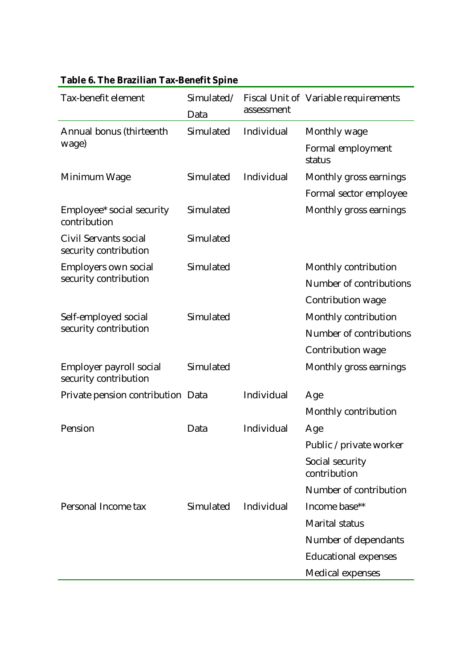| Tax-benefit element                              | Data      | assessment | Simulated/ Fiscal Unit of Variable requirements |
|--------------------------------------------------|-----------|------------|-------------------------------------------------|
| Annual bonus (thirteenth                         | Simulated | Individual | Monthly wage                                    |
| wage)                                            |           |            | Formal employment<br>status                     |
| Minimum Wage                                     | Simulated | Individual | Monthly gross earnings                          |
|                                                  |           |            | Formal sector employee                          |
| Employee* social security<br>contribution        | Simulated |            | Monthly gross earnings                          |
| Civil Servants social<br>security contribution   | Simulated |            |                                                 |
| Employers own social                             | Simulated |            | Monthly contribution                            |
| security contribution                            |           |            | Number of contributions                         |
|                                                  |           |            | Contribution wage                               |
| Self-employed social                             | Simulated |            | Monthly contribution                            |
| security contribution                            |           |            | Number of contributions                         |
|                                                  |           |            | Contribution wage                               |
| Employer payroll social<br>security contribution | Simulated |            | Monthly gross earnings                          |
| Private pension contribution Data                |           | Individual | Age                                             |
|                                                  |           |            | Monthly contribution                            |
| Pension                                          | Data      | Individual | Age                                             |
|                                                  |           |            | Public / private worker                         |
|                                                  |           |            | Social security<br>contribution                 |
|                                                  |           |            | Number of contribution                          |
| Personal Income tax                              | Simulated | Individual | Income base**                                   |
|                                                  |           |            | <b>Marital status</b>                           |
|                                                  |           |            | Number of dependants                            |
|                                                  |           |            | <b>Educational expenses</b>                     |
|                                                  |           |            | <b>Medical expenses</b>                         |

# **Table 6. The Brazilian Tax-Benefit Spine**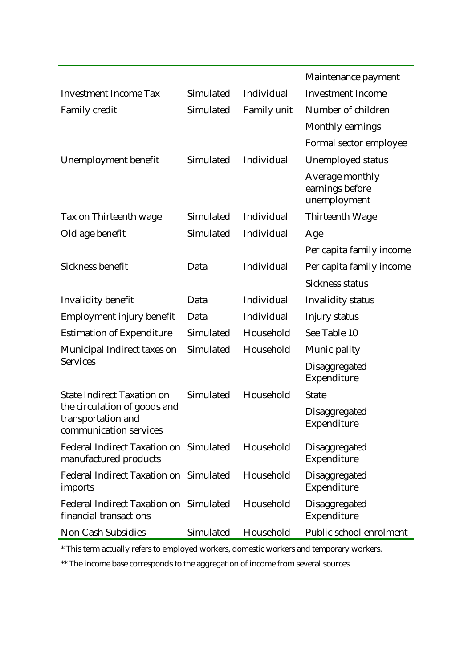|                                                                              |           |             | Maintenance payment                                |
|------------------------------------------------------------------------------|-----------|-------------|----------------------------------------------------|
| <b>Investment Income Tax</b>                                                 | Simulated | Individual  | <b>Investment Income</b>                           |
| <b>Family credit</b>                                                         | Simulated | Family unit | Number of children                                 |
|                                                                              |           |             | Monthly earnings                                   |
|                                                                              |           |             | Formal sector employee                             |
| Unemployment benefit                                                         | Simulated | Individual  | <b>Unemployed status</b>                           |
|                                                                              |           |             | Average monthly<br>earnings before<br>unemployment |
| Tax on Thirteenth wage                                                       | Simulated | Individual  | Thirteenth Wage                                    |
| Old age benefit                                                              | Simulated | Individual  | Age                                                |
|                                                                              |           |             | Per capita family income                           |
| Sickness benefit                                                             | Data      | Individual  | Per capita family income                           |
|                                                                              |           |             | <b>Sickness status</b>                             |
| <b>Invalidity benefit</b>                                                    | Data      | Individual  | <b>Invalidity status</b>                           |
| Employment injury benefit                                                    | Data      | Individual  | Injury status                                      |
| <b>Estimation of Expenditure</b>                                             | Simulated | Household   | See Table 10                                       |
| Municipal Indirect taxes on                                                  | Simulated | Household   | Municipality                                       |
| <b>Services</b>                                                              |           |             | Disaggregated<br>Expenditure                       |
| <b>State Indirect Taxation on</b>                                            | Simulated | Household   | <b>State</b>                                       |
| the circulation of goods and<br>transportation and<br>communication services |           |             | Disaggregated<br>Expenditure                       |
| Federal Indirect Taxation on Simulated<br>manufactured products              |           | Household   | Disaggregated<br>Expenditure                       |
| Federal Indirect Taxation on Simulated<br>imports                            |           | Household   | Disaggregated<br>Expenditure                       |
| Federal Indirect Taxation on Simulated<br>financial transactions             |           | Household   | Disaggregated<br>Expenditure                       |
| Non Cash Subsidies                                                           | Simulated | Household   | Public school enrolment                            |

\* This term actually refers to employed workers, domestic workers and temporary workers.

 $\ast\ast$  The income base corresponds to the aggregation of income from several sources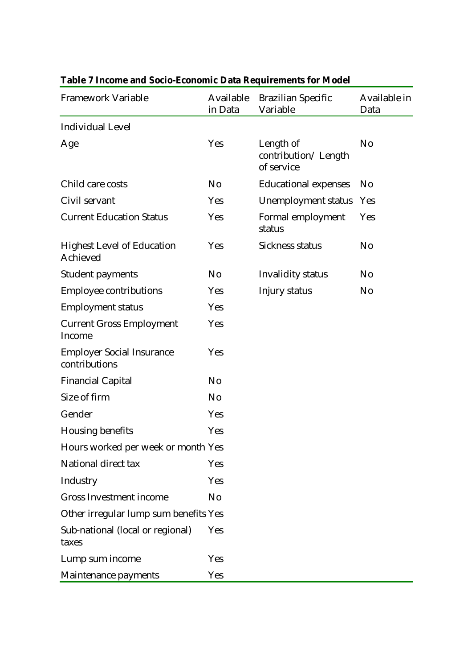| <b>Framework Variable</b>                         | Available<br>in Data | <b>Brazilian Specific</b><br>Variable          | Available in<br>Data |
|---------------------------------------------------|----------------------|------------------------------------------------|----------------------|
| <b>Individual Level</b>                           |                      |                                                |                      |
| Age                                               | Yes                  | Length of<br>contribution/Length<br>of service | No                   |
| Child care costs                                  | No                   | <b>Educational expenses</b>                    | N <sub>o</sub>       |
| Civil servant                                     | Yes                  | <b>Unemployment status</b>                     | Yes                  |
| <b>Current Education Status</b>                   | Yes                  | Formal employment<br>status                    | Yes                  |
| <b>Highest Level of Education</b><br>Achieved     | Yes                  | <b>Sickness status</b>                         | N <sub>o</sub>       |
| <b>Student payments</b>                           | N <sub>0</sub>       | Invalidity status                              | N <sub>0</sub>       |
| <b>Employee contributions</b>                     | Yes                  | Injury status                                  | No                   |
| <b>Employment status</b>                          | Yes                  |                                                |                      |
| <b>Current Gross Employment</b><br>Income         | Yes                  |                                                |                      |
| <b>Employer Social Insurance</b><br>contributions | Yes                  |                                                |                      |
| <b>Financial Capital</b>                          | N <sub>0</sub>       |                                                |                      |
| Size of firm                                      | No                   |                                                |                      |
| Gender                                            | Yes                  |                                                |                      |
| <b>Housing benefits</b>                           | Yes                  |                                                |                      |
| Hours worked per week or month Yes                |                      |                                                |                      |
| National direct tax                               | Yes                  |                                                |                      |
| Industry                                          | Yes                  |                                                |                      |
| <b>Gross Investment income</b>                    | No                   |                                                |                      |
| Other irregular lump sum benefits Yes             |                      |                                                |                      |
| Sub-national (local or regional)<br>taxes         | Yes                  |                                                |                      |
| Lump sum income                                   | Yes                  |                                                |                      |
| Maintenance payments                              | Yes                  |                                                |                      |

# **Table 7 Income and Socio-Economic Data Requirements for Model**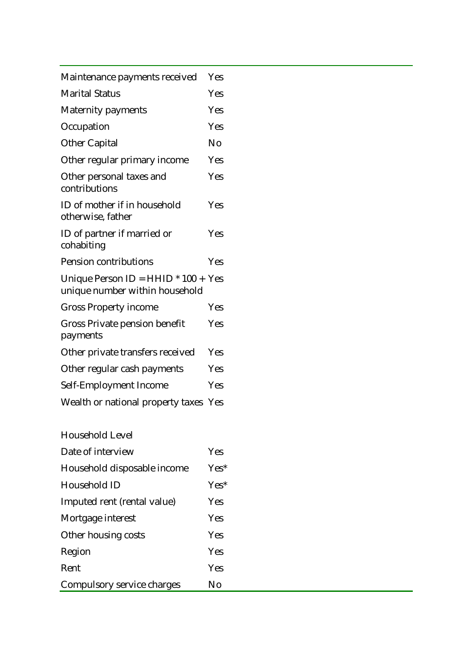| Maintenance payments received                                         | Yes |
|-----------------------------------------------------------------------|-----|
| <b>Marital Status</b>                                                 | Yes |
| <b>Maternity payments</b>                                             | Yes |
| Occupation                                                            | Yes |
| <b>Other Capital</b>                                                  | No  |
| Other regular primary income                                          | Yes |
| Other personal taxes and<br>contributions                             | Yes |
| ID of mother if in household<br>otherwise, father                     | Yes |
| ID of partner if married or<br>cohabiting                             | Yes |
| <b>Pension contributions</b>                                          | Yes |
| Unique Person ID = HHID * 100 + Yes<br>unique number within household |     |
| <b>Gross Property income</b>                                          | Yes |
| Gross Private pension benefit<br>payments                             | Yes |
| Other private transfers received                                      | Yes |
| Other regular cash payments                                           | Yes |
| Self-Employment Income                                                | Yes |
| Wealth or national property taxes                                     | Yes |

| Household Level             |            |
|-----------------------------|------------|
| Date of interview           | Yes        |
| Household disposable income | $Yes^*$    |
| Household ID                | $Yes^*$    |
| Imputed rent (rental value) | <b>Yes</b> |
| Mortgage interest           | <b>Yes</b> |
| Other housing costs         | Yes        |
| Region                      | Yes        |
| Rent                        | <b>Yes</b> |
| Compulsory service charges  | Nο         |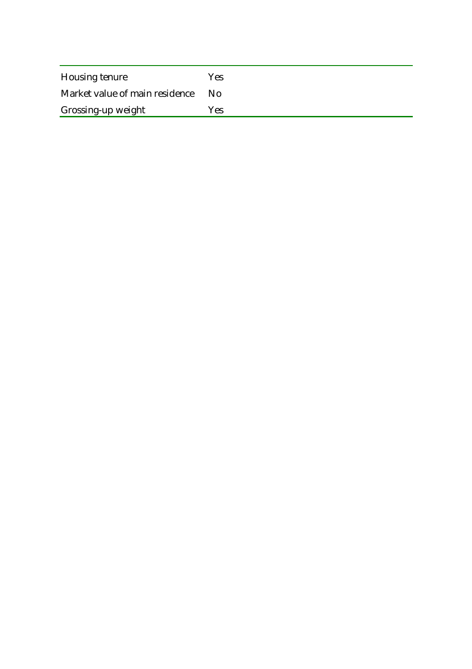| Housing tenure                 | Yes |
|--------------------------------|-----|
| Market value of main residence | No. |
| Grossing-up weight             | Yes |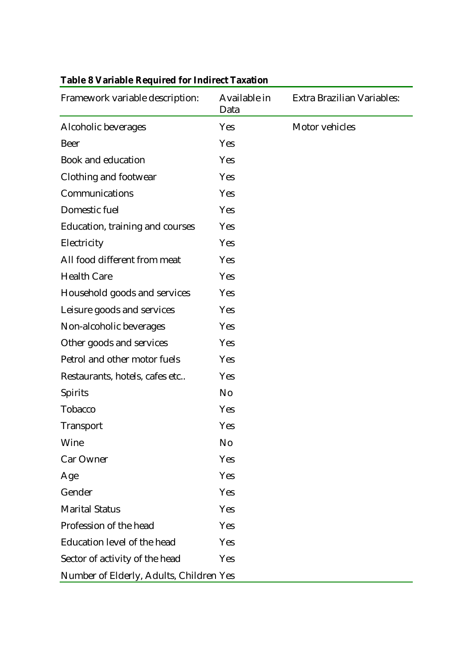| Framework variable description:         | Available in<br>Data | Extra Brazilian Variables: |
|-----------------------------------------|----------------------|----------------------------|
| Alcoholic beverages                     | Yes                  | Motor vehicles             |
| <b>Beer</b>                             | Yes                  |                            |
| <b>Book and education</b>               | Yes                  |                            |
| <b>Clothing and footwear</b>            | Yes                  |                            |
| Communications                          | Yes                  |                            |
| Domestic fuel                           | Yes                  |                            |
| Education, training and courses         | Yes                  |                            |
| Electricity                             | Yes                  |                            |
| All food different from meat            | Yes                  |                            |
| <b>Health Care</b>                      | Yes                  |                            |
| Household goods and services            | Yes                  |                            |
| Leisure goods and services              | Yes                  |                            |
| Non-alcoholic beverages                 | Yes                  |                            |
| Other goods and services                | Yes                  |                            |
| Petrol and other motor fuels            | Yes                  |                            |
| Restaurants, hotels, cafes etc          | Yes                  |                            |
| <b>Spirits</b>                          | No                   |                            |
| Tobacco                                 | Yes                  |                            |
| <b>Transport</b>                        | Yes                  |                            |
| Wine                                    | No                   |                            |
| Car Owner                               | <b>Yes</b>           |                            |
| Age                                     | Yes                  |                            |
| Gender                                  | Yes                  |                            |
| <b>Marital Status</b>                   | Yes                  |                            |
| Profession of the head                  | Yes                  |                            |
| Education level of the head             | Yes                  |                            |
| Sector of activity of the head          | <b>Yes</b>           |                            |
| Number of Elderly, Adults, Children Yes |                      |                            |

# **Table 8 Variable Required for Indirect Taxation**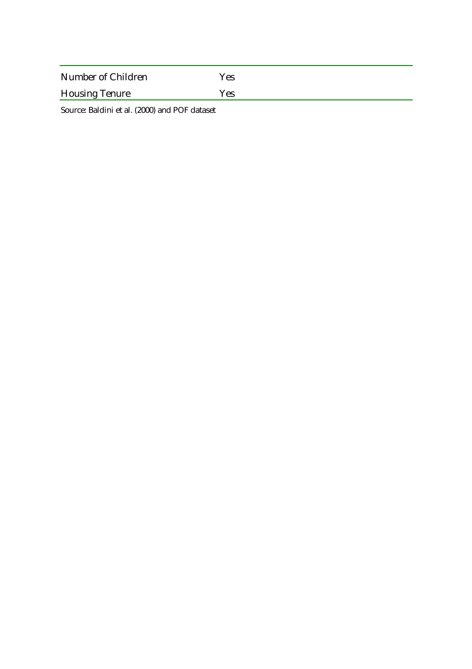| Number of Children    | Yes |
|-----------------------|-----|
| <b>Housing Tenure</b> | Yes |

Source: Baldini et al. (2000) and POF dataset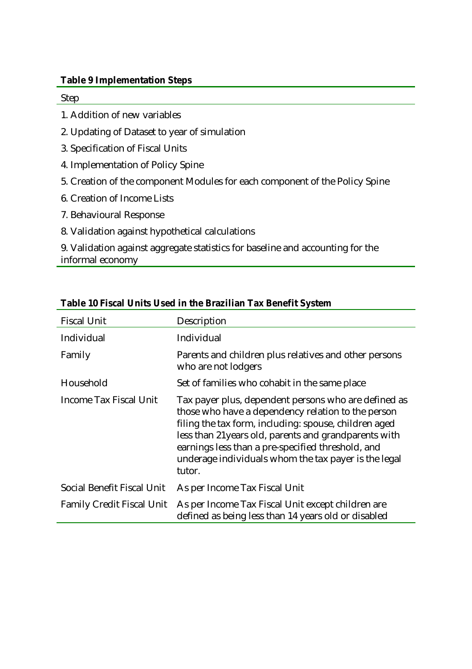#### **Table 9 Implementation Steps**

Step

- 1. Addition of new variables
- 2. Updating of Dataset to year of simulation
- 3. Specification of Fiscal Units
- 4. Implementation of Policy Spine
- 5. Creation of the component Modules for each component of the Policy Spine
- 6. Creation of Income Lists
- 7. Behavioural Response
- 8. Validation against hypothetical calculations

9. Validation against aggregate statistics for baseline and accounting for the informal economy

| <b>Fiscal Unit</b>               | Description                                                                                                                                                                                                                                                                                                                                         |
|----------------------------------|-----------------------------------------------------------------------------------------------------------------------------------------------------------------------------------------------------------------------------------------------------------------------------------------------------------------------------------------------------|
| Individual                       | Individual                                                                                                                                                                                                                                                                                                                                          |
| Family                           | Parents and children plus relatives and other persons<br>who are not lodgers                                                                                                                                                                                                                                                                        |
| Household                        | Set of families who cohabit in the same place                                                                                                                                                                                                                                                                                                       |
| Income Tax Fiscal Unit           | Tax payer plus, dependent persons who are defined as<br>those who have a dependency relation to the person<br>filing the tax form, including: spouse, children aged<br>less than 21 years old, parents and grandparents with<br>earnings less than a pre-specified threshold, and<br>underage individuals whom the tax payer is the legal<br>tutor. |
| Social Benefit Fiscal Unit       | As per Income Tax Fiscal Unit                                                                                                                                                                                                                                                                                                                       |
| <b>Family Credit Fiscal Unit</b> | As per Income Tax Fiscal Unit except children are<br>defined as being less than 14 years old or disabled                                                                                                                                                                                                                                            |

#### **Table 10 Fiscal Units Used in the Brazilian Tax Benefit System**